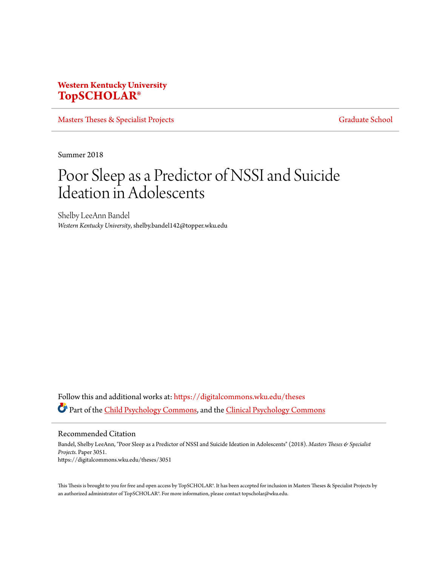## **Western Kentucky University [TopSCHOLAR®](https://digitalcommons.wku.edu?utm_source=digitalcommons.wku.edu%2Ftheses%2F3051&utm_medium=PDF&utm_campaign=PDFCoverPages)**

[Masters Theses & Specialist Projects](https://digitalcommons.wku.edu/theses?utm_source=digitalcommons.wku.edu%2Ftheses%2F3051&utm_medium=PDF&utm_campaign=PDFCoverPages) [Graduate School](https://digitalcommons.wku.edu/Graduate?utm_source=digitalcommons.wku.edu%2Ftheses%2F3051&utm_medium=PDF&utm_campaign=PDFCoverPages) Graduate School

Summer 2018

# Poor Sleep as a Predictor of NSSI and Suicide Ideation in Adolescents

Shelby LeeAnn Bandel *Western Kentucky University*, shelby.bandel142@topper.wku.edu

Follow this and additional works at: [https://digitalcommons.wku.edu/theses](https://digitalcommons.wku.edu/theses?utm_source=digitalcommons.wku.edu%2Ftheses%2F3051&utm_medium=PDF&utm_campaign=PDFCoverPages) Part of the [Child Psychology Commons](http://network.bepress.com/hgg/discipline/1023?utm_source=digitalcommons.wku.edu%2Ftheses%2F3051&utm_medium=PDF&utm_campaign=PDFCoverPages), and the [Clinical Psychology Commons](http://network.bepress.com/hgg/discipline/406?utm_source=digitalcommons.wku.edu%2Ftheses%2F3051&utm_medium=PDF&utm_campaign=PDFCoverPages)

Recommended Citation

Bandel, Shelby LeeAnn, "Poor Sleep as a Predictor of NSSI and Suicide Ideation in Adolescents" (2018). *Masters Theses & Specialist Projects.* Paper 3051. https://digitalcommons.wku.edu/theses/3051

This Thesis is brought to you for free and open access by TopSCHOLAR®. It has been accepted for inclusion in Masters Theses & Specialist Projects by an authorized administrator of TopSCHOLAR®. For more information, please contact topscholar@wku.edu.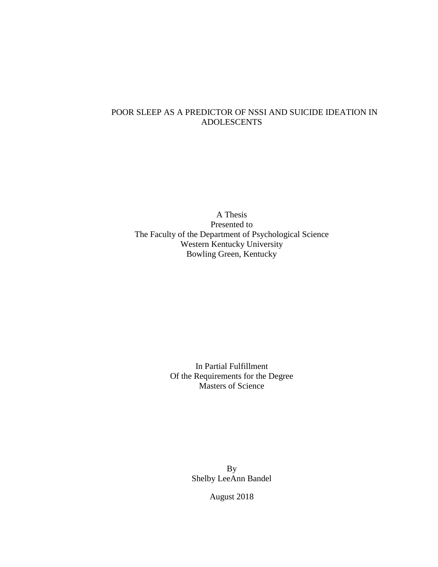## POOR SLEEP AS A PREDICTOR OF NSSI AND SUICIDE IDEATION IN ADOLESCENTS

A Thesis Presented to The Faculty of the Department of Psychological Science Western Kentucky University Bowling Green, Kentucky

> In Partial Fulfillment Of the Requirements for the Degree Masters of Science

> > By Shelby LeeAnn Bandel

> > > August 2018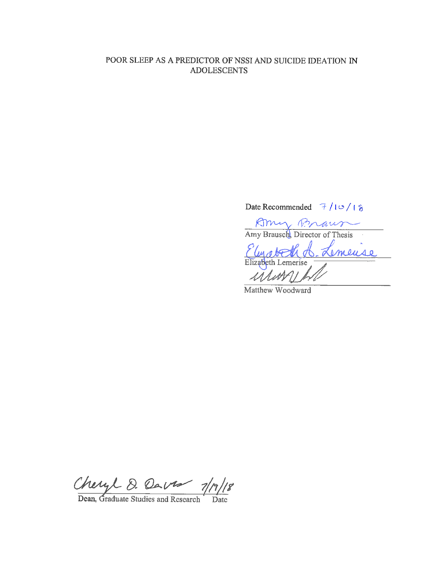### POOR SLEEP AS A PREDICTOR OF NSSI AND SUICIDE IDEATION IN **ADOLESCENTS**

# Date Recommended  $7/10/18$

Amy Braun Amy Brausch, Director of Thesis (A. Lemeuse Elizabeth Lemerise

Matthew Woodward

Cheryl D. Dave 1/1/18<br>Dean, Graduate Studies and Research Date ||8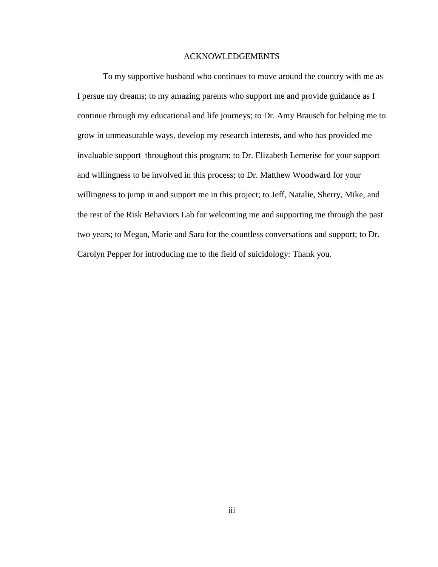#### ACKNOWLEDGEMENTS

To my supportive husband who continues to move around the country with me as I persue my dreams; to my amazing parents who support me and provide guidance as I continue through my educational and life journeys; to Dr. Amy Brausch for helping me to grow in unmeasurable ways, develop my research interests, and who has provided me invaluable support throughout this program; to Dr. Elizabeth Lemerise for your support and willingness to be involved in this process; to Dr. Matthew Woodward for your willingness to jump in and support me in this project; to Jeff, Natalie, Sherry, Mike, and the rest of the Risk Behaviors Lab for welcoming me and supporting me through the past two years; to Megan, Marie and Sara for the countless conversations and support; to Dr. Carolyn Pepper for introducing me to the field of suicidology: Thank you.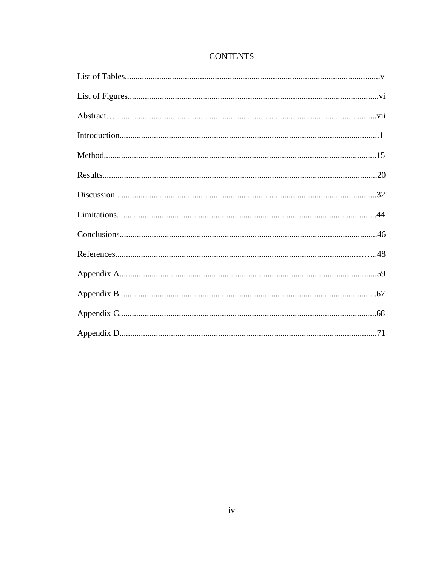## **CONTENTS**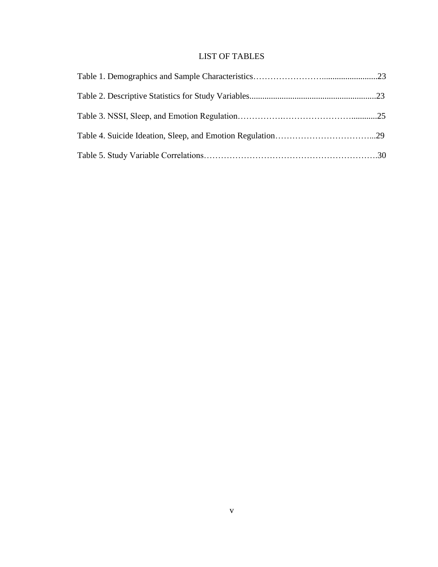## LIST OF TABLES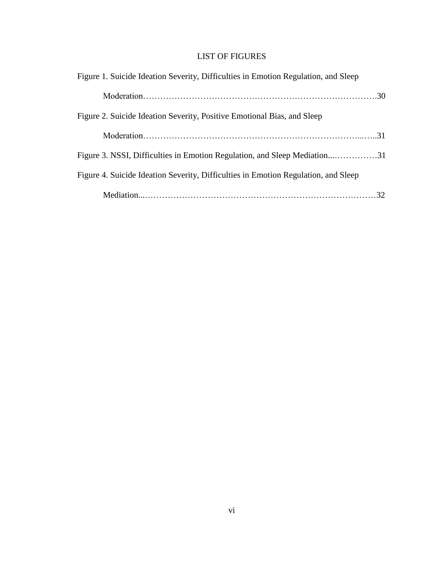# LIST OF FIGURES

| Figure 1. Suicide Ideation Severity, Difficulties in Emotion Regulation, and Sleep |  |
|------------------------------------------------------------------------------------|--|
|                                                                                    |  |
| Figure 2. Suicide Ideation Severity, Positive Emotional Bias, and Sleep            |  |
|                                                                                    |  |
|                                                                                    |  |
| Figure 4. Suicide Ideation Severity, Difficulties in Emotion Regulation, and Sleep |  |
|                                                                                    |  |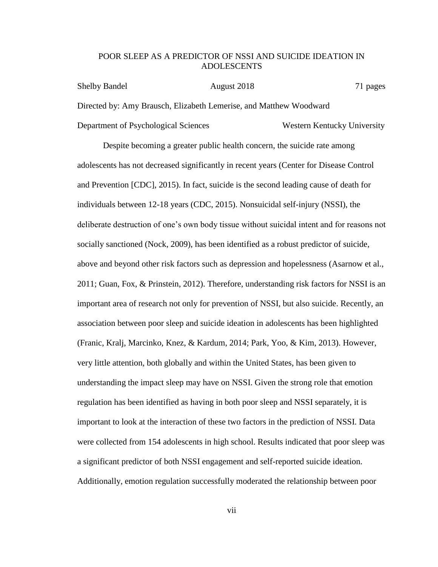#### POOR SLEEP AS A PREDICTOR OF NSSI AND SUICIDE IDEATION IN ADOLESCENTS

Shelby Bandel **August 2018** 2018 71 pages Directed by: Amy Brausch, Elizabeth Lemerise, and Matthew Woodward Department of Psychological Sciences Western Kentucky University

Despite becoming a greater public health concern, the suicide rate among adolescents has not decreased significantly in recent years (Center for Disease Control and Prevention [CDC], 2015). In fact, suicide is the second leading cause of death for individuals between 12-18 years (CDC, 2015). Nonsuicidal self-injury (NSSI), the deliberate destruction of one's own body tissue without suicidal intent and for reasons not socially sanctioned (Nock, 2009), has been identified as a robust predictor of suicide, above and beyond other risk factors such as depression and hopelessness (Asarnow et al., 2011; Guan, Fox, & Prinstein, 2012). Therefore, understanding risk factors for NSSI is an important area of research not only for prevention of NSSI, but also suicide. Recently, an association between poor sleep and suicide ideation in adolescents has been highlighted (Franic, Kralj, Marcinko, Knez, & Kardum, 2014; Park, Yoo, & Kim, 2013). However, very little attention, both globally and within the United States, has been given to understanding the impact sleep may have on NSSI. Given the strong role that emotion regulation has been identified as having in both poor sleep and NSSI separately, it is important to look at the interaction of these two factors in the prediction of NSSI. Data were collected from 154 adolescents in high school. Results indicated that poor sleep was a significant predictor of both NSSI engagement and self-reported suicide ideation. Additionally, emotion regulation successfully moderated the relationship between poor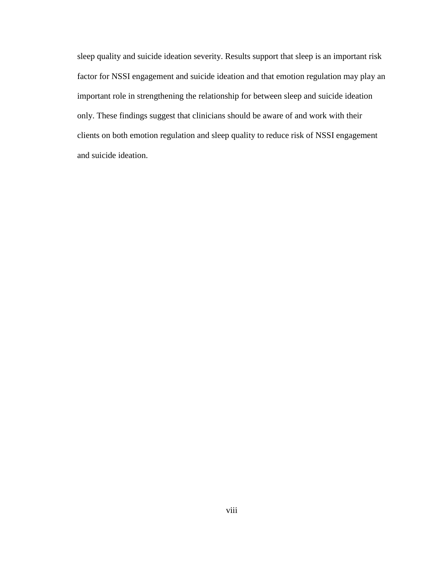sleep quality and suicide ideation severity. Results support that sleep is an important risk factor for NSSI engagement and suicide ideation and that emotion regulation may play an important role in strengthening the relationship for between sleep and suicide ideation only. These findings suggest that clinicians should be aware of and work with their clients on both emotion regulation and sleep quality to reduce risk of NSSI engagement and suicide ideation.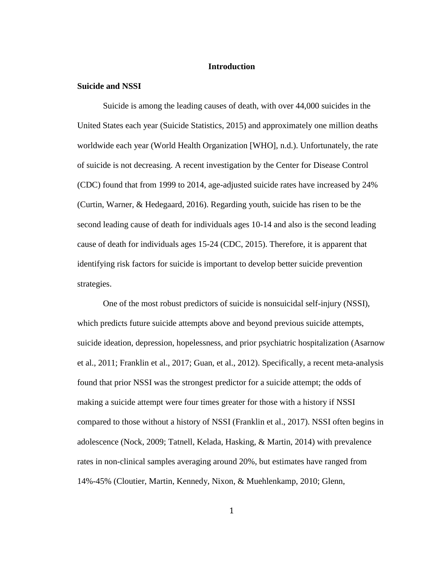#### **Introduction**

#### **Suicide and NSSI**

Suicide is among the leading causes of death, with over 44,000 suicides in the United States each year (Suicide Statistics, 2015) and approximately one million deaths worldwide each year (World Health Organization [WHO], n.d.). Unfortunately, the rate of suicide is not decreasing. A recent investigation by the Center for Disease Control (CDC) found that from 1999 to 2014, age-adjusted suicide rates have increased by 24% (Curtin, Warner, & Hedegaard, 2016). Regarding youth, suicide has risen to be the second leading cause of death for individuals ages 10-14 and also is the second leading cause of death for individuals ages 15-24 (CDC, 2015). Therefore, it is apparent that identifying risk factors for suicide is important to develop better suicide prevention strategies.

One of the most robust predictors of suicide is nonsuicidal self-injury (NSSI), which predicts future suicide attempts above and beyond previous suicide attempts, suicide ideation, depression, hopelessness, and prior psychiatric hospitalization (Asarnow et al., 2011; Franklin et al., 2017; Guan, et al., 2012). Specifically, a recent meta-analysis found that prior NSSI was the strongest predictor for a suicide attempt; the odds of making a suicide attempt were four times greater for those with a history if NSSI compared to those without a history of NSSI (Franklin et al., 2017). NSSI often begins in adolescence (Nock, 2009; Tatnell, Kelada, Hasking, & Martin, 2014) with prevalence rates in non-clinical samples averaging around 20%, but estimates have ranged from 14%-45% (Cloutier, Martin, Kennedy, Nixon, & Muehlenkamp, 2010; Glenn,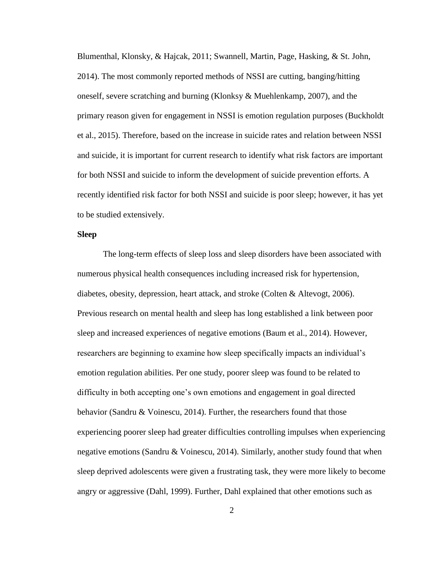Blumenthal, Klonsky, & Hajcak, 2011; Swannell, Martin, Page, Hasking, & St. John, 2014). The most commonly reported methods of NSSI are cutting, banging/hitting oneself, severe scratching and burning (Klonksy & Muehlenkamp, 2007), and the primary reason given for engagement in NSSI is emotion regulation purposes (Buckholdt et al., 2015). Therefore, based on the increase in suicide rates and relation between NSSI and suicide, it is important for current research to identify what risk factors are important for both NSSI and suicide to inform the development of suicide prevention efforts. A recently identified risk factor for both NSSI and suicide is poor sleep; however, it has yet to be studied extensively.

#### **Sleep**

The long-term effects of sleep loss and sleep disorders have been associated with numerous physical health consequences including increased risk for hypertension, diabetes, obesity, depression, heart attack, and stroke (Colten & Altevogt, 2006). Previous research on mental health and sleep has long established a link between poor sleep and increased experiences of negative emotions (Baum et al., 2014). However, researchers are beginning to examine how sleep specifically impacts an individual's emotion regulation abilities. Per one study, poorer sleep was found to be related to difficulty in both accepting one's own emotions and engagement in goal directed behavior (Sandru & Voinescu, 2014). Further, the researchers found that those experiencing poorer sleep had greater difficulties controlling impulses when experiencing negative emotions (Sandru & Voinescu, 2014). Similarly, another study found that when sleep deprived adolescents were given a frustrating task, they were more likely to become angry or aggressive (Dahl, 1999). Further, Dahl explained that other emotions such as

2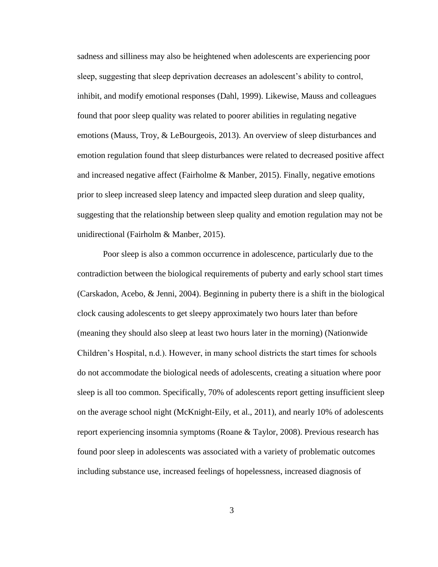sadness and silliness may also be heightened when adolescents are experiencing poor sleep, suggesting that sleep deprivation decreases an adolescent's ability to control, inhibit, and modify emotional responses (Dahl, 1999). Likewise, Mauss and colleagues found that poor sleep quality was related to poorer abilities in regulating negative emotions (Mauss, Troy, & LeBourgeois, 2013). An overview of sleep disturbances and emotion regulation found that sleep disturbances were related to decreased positive affect and increased negative affect (Fairholme & Manber, 2015). Finally, negative emotions prior to sleep increased sleep latency and impacted sleep duration and sleep quality, suggesting that the relationship between sleep quality and emotion regulation may not be unidirectional (Fairholm & Manber, 2015).

Poor sleep is also a common occurrence in adolescence, particularly due to the contradiction between the biological requirements of puberty and early school start times (Carskadon, Acebo, & Jenni, 2004). Beginning in puberty there is a shift in the biological clock causing adolescents to get sleepy approximately two hours later than before (meaning they should also sleep at least two hours later in the morning) (Nationwide Children's Hospital, n.d.). However, in many school districts the start times for schools do not accommodate the biological needs of adolescents, creating a situation where poor sleep is all too common. Specifically, 70% of adolescents report getting insufficient sleep on the average school night (McKnight-Eily, et al., 2011), and nearly 10% of adolescents report experiencing insomnia symptoms (Roane & Taylor, 2008). Previous research has found poor sleep in adolescents was associated with a variety of problematic outcomes including substance use, increased feelings of hopelessness, increased diagnosis of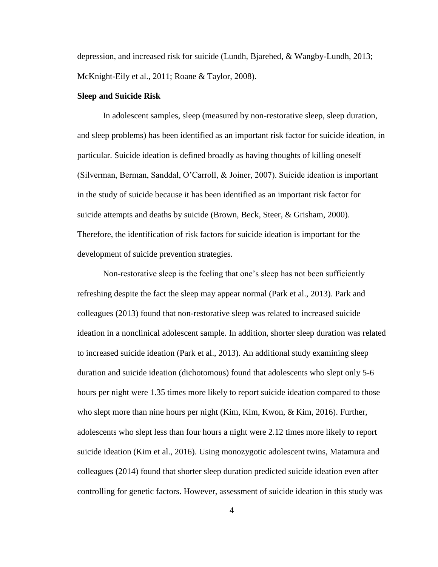depression, and increased risk for suicide (Lundh, Bjarehed, & Wangby-Lundh, 2013; McKnight-Eily et al., 2011; Roane & Taylor, 2008).

#### **Sleep and Suicide Risk**

In adolescent samples, sleep (measured by non-restorative sleep, sleep duration, and sleep problems) has been identified as an important risk factor for suicide ideation, in particular. Suicide ideation is defined broadly as having thoughts of killing oneself (Silverman, Berman, Sanddal, O'Carroll, & Joiner, 2007). Suicide ideation is important in the study of suicide because it has been identified as an important risk factor for suicide attempts and deaths by suicide (Brown, Beck, Steer, & Grisham, 2000). Therefore, the identification of risk factors for suicide ideation is important for the development of suicide prevention strategies.

Non-restorative sleep is the feeling that one's sleep has not been sufficiently refreshing despite the fact the sleep may appear normal (Park et al., 2013). Park and colleagues (2013) found that non-restorative sleep was related to increased suicide ideation in a nonclinical adolescent sample. In addition, shorter sleep duration was related to increased suicide ideation (Park et al., 2013). An additional study examining sleep duration and suicide ideation (dichotomous) found that adolescents who slept only 5-6 hours per night were 1.35 times more likely to report suicide ideation compared to those who slept more than nine hours per night (Kim, Kim, Kwon, & Kim, 2016). Further, adolescents who slept less than four hours a night were 2.12 times more likely to report suicide ideation (Kim et al., 2016). Using monozygotic adolescent twins, Matamura and colleagues (2014) found that shorter sleep duration predicted suicide ideation even after controlling for genetic factors. However, assessment of suicide ideation in this study was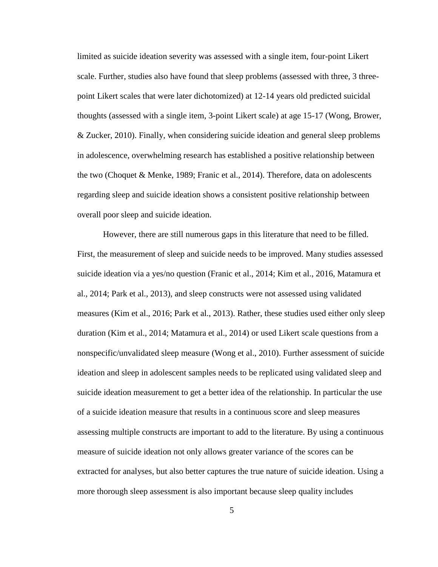limited as suicide ideation severity was assessed with a single item, four-point Likert scale. Further, studies also have found that sleep problems (assessed with three, 3 threepoint Likert scales that were later dichotomized) at 12-14 years old predicted suicidal thoughts (assessed with a single item, 3-point Likert scale) at age 15-17 (Wong, Brower, & Zucker, 2010). Finally, when considering suicide ideation and general sleep problems in adolescence, overwhelming research has established a positive relationship between the two (Choquet & Menke, 1989; Franic et al., 2014). Therefore, data on adolescents regarding sleep and suicide ideation shows a consistent positive relationship between overall poor sleep and suicide ideation.

However, there are still numerous gaps in this literature that need to be filled. First, the measurement of sleep and suicide needs to be improved. Many studies assessed suicide ideation via a yes/no question (Franic et al., 2014; Kim et al., 2016, Matamura et al., 2014; Park et al., 2013), and sleep constructs were not assessed using validated measures (Kim et al., 2016; Park et al., 2013). Rather, these studies used either only sleep duration (Kim et al., 2014; Matamura et al., 2014) or used Likert scale questions from a nonspecific/unvalidated sleep measure (Wong et al., 2010). Further assessment of suicide ideation and sleep in adolescent samples needs to be replicated using validated sleep and suicide ideation measurement to get a better idea of the relationship. In particular the use of a suicide ideation measure that results in a continuous score and sleep measures assessing multiple constructs are important to add to the literature. By using a continuous measure of suicide ideation not only allows greater variance of the scores can be extracted for analyses, but also better captures the true nature of suicide ideation. Using a more thorough sleep assessment is also important because sleep quality includes

5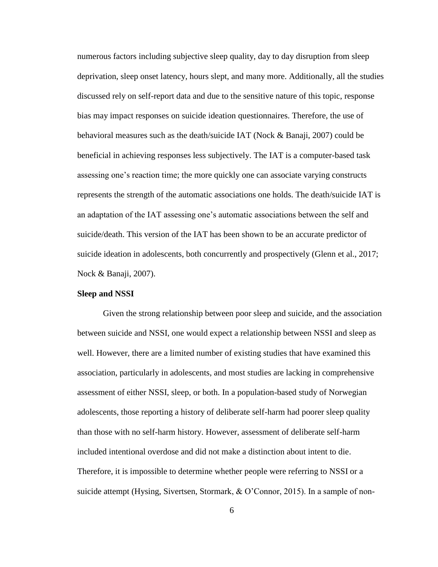numerous factors including subjective sleep quality, day to day disruption from sleep deprivation, sleep onset latency, hours slept, and many more. Additionally, all the studies discussed rely on self-report data and due to the sensitive nature of this topic, response bias may impact responses on suicide ideation questionnaires. Therefore, the use of behavioral measures such as the death/suicide IAT (Nock & Banaji, 2007) could be beneficial in achieving responses less subjectively. The IAT is a computer-based task assessing one's reaction time; the more quickly one can associate varying constructs represents the strength of the automatic associations one holds. The death/suicide IAT is an adaptation of the IAT assessing one's automatic associations between the self and suicide/death. This version of the IAT has been shown to be an accurate predictor of suicide ideation in adolescents, both concurrently and prospectively (Glenn et al., 2017; Nock & Banaji, 2007).

#### **Sleep and NSSI**

Given the strong relationship between poor sleep and suicide, and the association between suicide and NSSI, one would expect a relationship between NSSI and sleep as well. However, there are a limited number of existing studies that have examined this association, particularly in adolescents, and most studies are lacking in comprehensive assessment of either NSSI, sleep, or both. In a population-based study of Norwegian adolescents, those reporting a history of deliberate self-harm had poorer sleep quality than those with no self-harm history. However, assessment of deliberate self-harm included intentional overdose and did not make a distinction about intent to die. Therefore, it is impossible to determine whether people were referring to NSSI or a suicide attempt (Hysing, Sivertsen, Stormark, & O'Connor, 2015). In a sample of non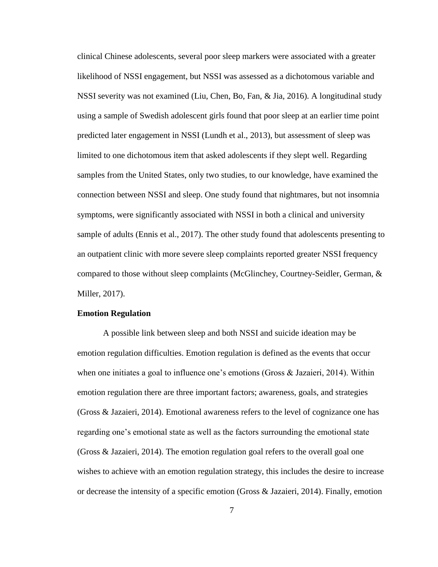clinical Chinese adolescents, several poor sleep markers were associated with a greater likelihood of NSSI engagement, but NSSI was assessed as a dichotomous variable and NSSI severity was not examined (Liu, Chen, Bo, Fan, & Jia, 2016). A longitudinal study using a sample of Swedish adolescent girls found that poor sleep at an earlier time point predicted later engagement in NSSI (Lundh et al., 2013), but assessment of sleep was limited to one dichotomous item that asked adolescents if they slept well. Regarding samples from the United States, only two studies, to our knowledge, have examined the connection between NSSI and sleep. One study found that nightmares, but not insomnia symptoms, were significantly associated with NSSI in both a clinical and university sample of adults (Ennis et al., 2017). The other study found that adolescents presenting to an outpatient clinic with more severe sleep complaints reported greater NSSI frequency compared to those without sleep complaints (McGlinchey, Courtney-Seidler, German, & Miller, 2017).

#### **Emotion Regulation**

A possible link between sleep and both NSSI and suicide ideation may be emotion regulation difficulties. Emotion regulation is defined as the events that occur when one initiates a goal to influence one's emotions (Gross & Jazaieri, 2014). Within emotion regulation there are three important factors; awareness, goals, and strategies (Gross & Jazaieri, 2014). Emotional awareness refers to the level of cognizance one has regarding one's emotional state as well as the factors surrounding the emotional state (Gross & Jazaieri, 2014). The emotion regulation goal refers to the overall goal one wishes to achieve with an emotion regulation strategy, this includes the desire to increase or decrease the intensity of a specific emotion (Gross & Jazaieri, 2014). Finally, emotion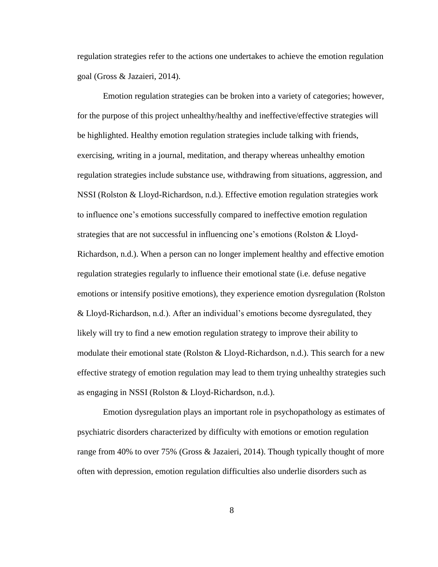regulation strategies refer to the actions one undertakes to achieve the emotion regulation goal (Gross & Jazaieri, 2014).

Emotion regulation strategies can be broken into a variety of categories; however, for the purpose of this project unhealthy/healthy and ineffective/effective strategies will be highlighted. Healthy emotion regulation strategies include talking with friends, exercising, writing in a journal, meditation, and therapy whereas unhealthy emotion regulation strategies include substance use, withdrawing from situations, aggression, and NSSI (Rolston & Lloyd-Richardson, n.d.). Effective emotion regulation strategies work to influence one's emotions successfully compared to ineffective emotion regulation strategies that are not successful in influencing one's emotions (Rolston & Lloyd-Richardson, n.d.). When a person can no longer implement healthy and effective emotion regulation strategies regularly to influence their emotional state (i.e. defuse negative emotions or intensify positive emotions), they experience emotion dysregulation (Rolston & Lloyd-Richardson, n.d.). After an individual's emotions become dysregulated, they likely will try to find a new emotion regulation strategy to improve their ability to modulate their emotional state (Rolston & Lloyd-Richardson, n.d.). This search for a new effective strategy of emotion regulation may lead to them trying unhealthy strategies such as engaging in NSSI (Rolston & Lloyd-Richardson, n.d.).

Emotion dysregulation plays an important role in psychopathology as estimates of psychiatric disorders characterized by difficulty with emotions or emotion regulation range from 40% to over 75% (Gross & Jazaieri, 2014). Though typically thought of more often with depression, emotion regulation difficulties also underlie disorders such as

8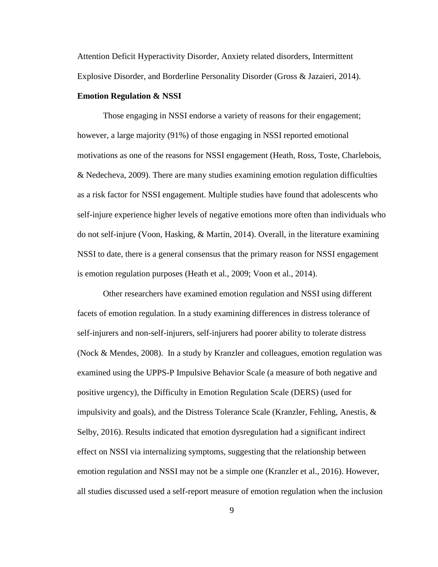Attention Deficit Hyperactivity Disorder, Anxiety related disorders, Intermittent Explosive Disorder, and Borderline Personality Disorder (Gross & Jazaieri, 2014).

#### **Emotion Regulation & NSSI**

Those engaging in NSSI endorse a variety of reasons for their engagement; however, a large majority (91%) of those engaging in NSSI reported emotional motivations as one of the reasons for NSSI engagement (Heath, Ross, Toste, Charlebois, & Nedecheva, 2009). There are many studies examining emotion regulation difficulties as a risk factor for NSSI engagement. Multiple studies have found that adolescents who self-injure experience higher levels of negative emotions more often than individuals who do not self-injure (Voon, Hasking, & Martin, 2014). Overall, in the literature examining NSSI to date, there is a general consensus that the primary reason for NSSI engagement is emotion regulation purposes (Heath et al., 2009; Voon et al., 2014).

Other researchers have examined emotion regulation and NSSI using different facets of emotion regulation. In a study examining differences in distress tolerance of self-injurers and non-self-injurers, self-injurers had poorer ability to tolerate distress (Nock & Mendes, 2008). In a study by Kranzler and colleagues, emotion regulation was examined using the UPPS-P Impulsive Behavior Scale (a measure of both negative and positive urgency), the Difficulty in Emotion Regulation Scale (DERS) (used for impulsivity and goals), and the Distress Tolerance Scale (Kranzler, Fehling, Anestis,  $\&$ Selby, 2016). Results indicated that emotion dysregulation had a significant indirect effect on NSSI via internalizing symptoms, suggesting that the relationship between emotion regulation and NSSI may not be a simple one (Kranzler et al., 2016). However, all studies discussed used a self-report measure of emotion regulation when the inclusion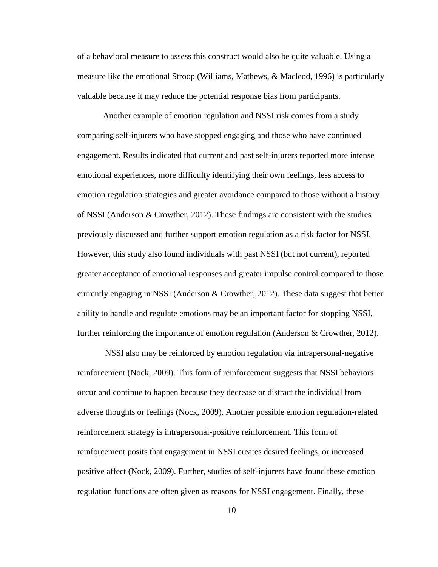of a behavioral measure to assess this construct would also be quite valuable. Using a measure like the emotional Stroop (Williams, Mathews, & Macleod, 1996) is particularly valuable because it may reduce the potential response bias from participants.

Another example of emotion regulation and NSSI risk comes from a study comparing self-injurers who have stopped engaging and those who have continued engagement. Results indicated that current and past self-injurers reported more intense emotional experiences, more difficulty identifying their own feelings, less access to emotion regulation strategies and greater avoidance compared to those without a history of NSSI (Anderson & Crowther, 2012). These findings are consistent with the studies previously discussed and further support emotion regulation as a risk factor for NSSI. However, this study also found individuals with past NSSI (but not current), reported greater acceptance of emotional responses and greater impulse control compared to those currently engaging in NSSI (Anderson & Crowther, 2012). These data suggest that better ability to handle and regulate emotions may be an important factor for stopping NSSI, further reinforcing the importance of emotion regulation (Anderson & Crowther, 2012).

NSSI also may be reinforced by emotion regulation via intrapersonal-negative reinforcement (Nock, 2009). This form of reinforcement suggests that NSSI behaviors occur and continue to happen because they decrease or distract the individual from adverse thoughts or feelings (Nock, 2009). Another possible emotion regulation-related reinforcement strategy is intrapersonal-positive reinforcement. This form of reinforcement posits that engagement in NSSI creates desired feelings, or increased positive affect (Nock, 2009). Further, studies of self-injurers have found these emotion regulation functions are often given as reasons for NSSI engagement. Finally, these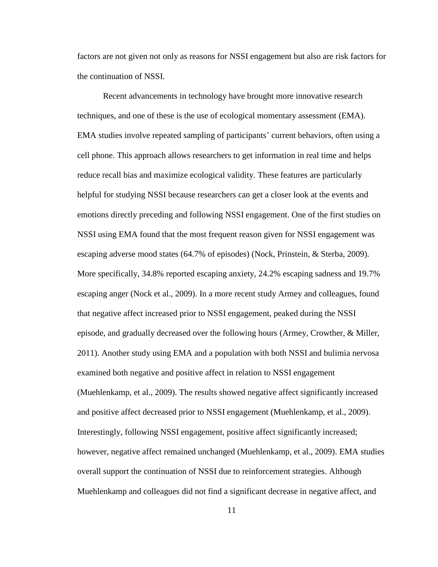factors are not given not only as reasons for NSSI engagement but also are risk factors for the continuation of NSSI.

Recent advancements in technology have brought more innovative research techniques, and one of these is the use of ecological momentary assessment (EMA). EMA studies involve repeated sampling of participants' current behaviors, often using a cell phone. This approach allows researchers to get information in real time and helps reduce recall bias and maximize ecological validity. These features are particularly helpful for studying NSSI because researchers can get a closer look at the events and emotions directly preceding and following NSSI engagement. One of the first studies on NSSI using EMA found that the most frequent reason given for NSSI engagement was escaping adverse mood states (64.7% of episodes) (Nock, Prinstein, & Sterba, 2009). More specifically, 34.8% reported escaping anxiety, 24.2% escaping sadness and 19.7% escaping anger (Nock et al., 2009). In a more recent study Armey and colleagues, found that negative affect increased prior to NSSI engagement, peaked during the NSSI episode, and gradually decreased over the following hours (Armey, Crowther, & Miller, 2011). Another study using EMA and a population with both NSSI and bulimia nervosa examined both negative and positive affect in relation to NSSI engagement (Muehlenkamp, et al., 2009). The results showed negative affect significantly increased and positive affect decreased prior to NSSI engagement (Muehlenkamp, et al., 2009). Interestingly, following NSSI engagement, positive affect significantly increased; however, negative affect remained unchanged (Muehlenkamp, et al., 2009). EMA studies overall support the continuation of NSSI due to reinforcement strategies. Although Muehlenkamp and colleagues did not find a significant decrease in negative affect, and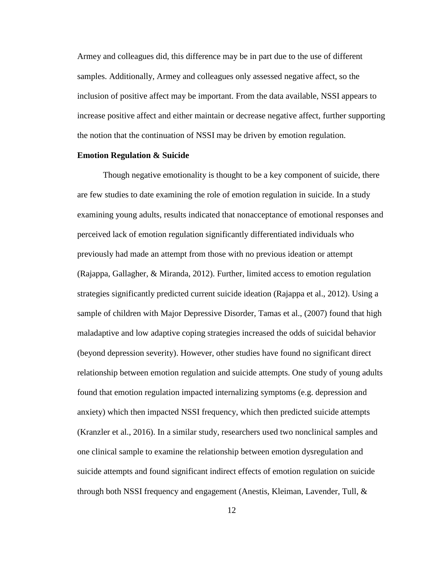Armey and colleagues did, this difference may be in part due to the use of different samples. Additionally, Armey and colleagues only assessed negative affect, so the inclusion of positive affect may be important. From the data available, NSSI appears to increase positive affect and either maintain or decrease negative affect, further supporting the notion that the continuation of NSSI may be driven by emotion regulation.

#### **Emotion Regulation & Suicide**

Though negative emotionality is thought to be a key component of suicide, there are few studies to date examining the role of emotion regulation in suicide. In a study examining young adults, results indicated that nonacceptance of emotional responses and perceived lack of emotion regulation significantly differentiated individuals who previously had made an attempt from those with no previous ideation or attempt (Rajappa, Gallagher, & Miranda, 2012). Further, limited access to emotion regulation strategies significantly predicted current suicide ideation (Rajappa et al., 2012). Using a sample of children with Major Depressive Disorder, Tamas et al., (2007) found that high maladaptive and low adaptive coping strategies increased the odds of suicidal behavior (beyond depression severity). However, other studies have found no significant direct relationship between emotion regulation and suicide attempts. One study of young adults found that emotion regulation impacted internalizing symptoms (e.g. depression and anxiety) which then impacted NSSI frequency, which then predicted suicide attempts (Kranzler et al., 2016). In a similar study, researchers used two nonclinical samples and one clinical sample to examine the relationship between emotion dysregulation and suicide attempts and found significant indirect effects of emotion regulation on suicide through both NSSI frequency and engagement (Anestis, Kleiman, Lavender, Tull, &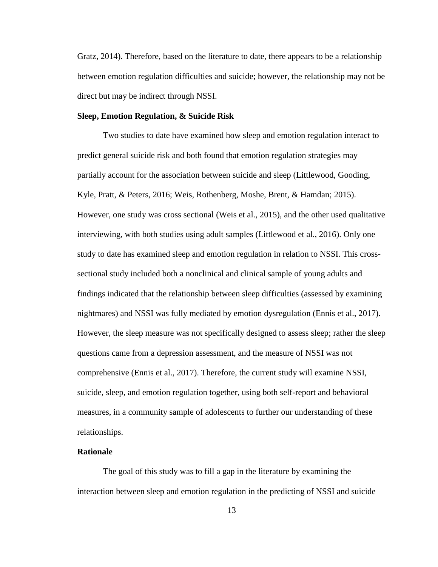Gratz, 2014). Therefore, based on the literature to date, there appears to be a relationship between emotion regulation difficulties and suicide; however, the relationship may not be direct but may be indirect through NSSI.

#### **Sleep, Emotion Regulation, & Suicide Risk**

Two studies to date have examined how sleep and emotion regulation interact to predict general suicide risk and both found that emotion regulation strategies may partially account for the association between suicide and sleep (Littlewood, Gooding, Kyle, Pratt, & Peters, 2016; Weis, Rothenberg, Moshe, Brent, & Hamdan; 2015). However, one study was cross sectional (Weis et al., 2015), and the other used qualitative interviewing, with both studies using adult samples (Littlewood et al., 2016). Only one study to date has examined sleep and emotion regulation in relation to NSSI. This crosssectional study included both a nonclinical and clinical sample of young adults and findings indicated that the relationship between sleep difficulties (assessed by examining nightmares) and NSSI was fully mediated by emotion dysregulation (Ennis et al., 2017). However, the sleep measure was not specifically designed to assess sleep; rather the sleep questions came from a depression assessment, and the measure of NSSI was not comprehensive (Ennis et al., 2017). Therefore, the current study will examine NSSI, suicide, sleep, and emotion regulation together, using both self-report and behavioral measures, in a community sample of adolescents to further our understanding of these relationships.

#### **Rationale**

The goal of this study was to fill a gap in the literature by examining the interaction between sleep and emotion regulation in the predicting of NSSI and suicide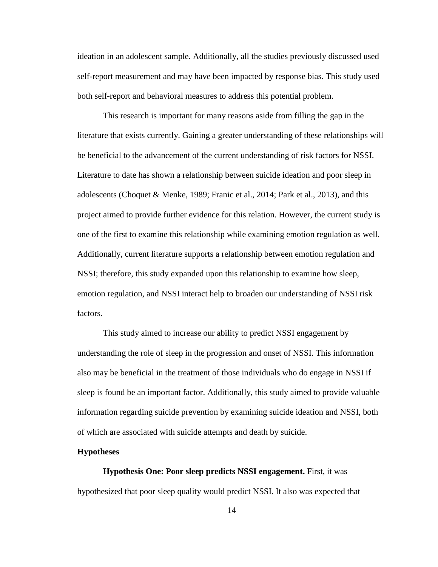ideation in an adolescent sample. Additionally, all the studies previously discussed used self-report measurement and may have been impacted by response bias. This study used both self-report and behavioral measures to address this potential problem.

This research is important for many reasons aside from filling the gap in the literature that exists currently. Gaining a greater understanding of these relationships will be beneficial to the advancement of the current understanding of risk factors for NSSI. Literature to date has shown a relationship between suicide ideation and poor sleep in adolescents (Choquet & Menke, 1989; Franic et al., 2014; Park et al., 2013), and this project aimed to provide further evidence for this relation. However, the current study is one of the first to examine this relationship while examining emotion regulation as well. Additionally, current literature supports a relationship between emotion regulation and NSSI; therefore, this study expanded upon this relationship to examine how sleep, emotion regulation, and NSSI interact help to broaden our understanding of NSSI risk factors.

This study aimed to increase our ability to predict NSSI engagement by understanding the role of sleep in the progression and onset of NSSI. This information also may be beneficial in the treatment of those individuals who do engage in NSSI if sleep is found be an important factor. Additionally, this study aimed to provide valuable information regarding suicide prevention by examining suicide ideation and NSSI, both of which are associated with suicide attempts and death by suicide.

#### **Hypotheses**

**Hypothesis One: Poor sleep predicts NSSI engagement.** First, it was hypothesized that poor sleep quality would predict NSSI. It also was expected that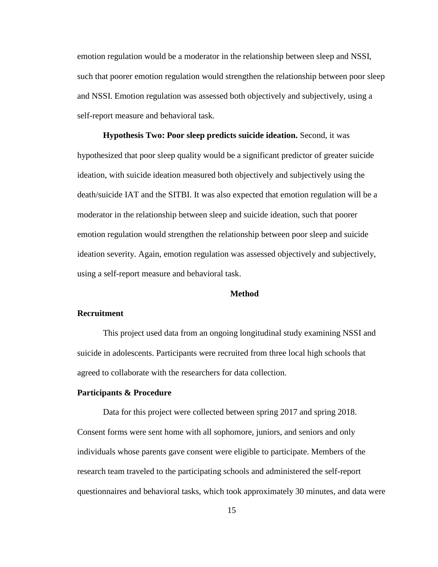emotion regulation would be a moderator in the relationship between sleep and NSSI, such that poorer emotion regulation would strengthen the relationship between poor sleep and NSSI. Emotion regulation was assessed both objectively and subjectively, using a self-report measure and behavioral task.

**Hypothesis Two: Poor sleep predicts suicide ideation.** Second, it was hypothesized that poor sleep quality would be a significant predictor of greater suicide ideation, with suicide ideation measured both objectively and subjectively using the death/suicide IAT and the SITBI. It was also expected that emotion regulation will be a moderator in the relationship between sleep and suicide ideation, such that poorer emotion regulation would strengthen the relationship between poor sleep and suicide ideation severity. Again, emotion regulation was assessed objectively and subjectively, using a self-report measure and behavioral task.

#### **Method**

#### **Recruitment**

This project used data from an ongoing longitudinal study examining NSSI and suicide in adolescents. Participants were recruited from three local high schools that agreed to collaborate with the researchers for data collection.

#### **Participants & Procedure**

Data for this project were collected between spring 2017 and spring 2018. Consent forms were sent home with all sophomore, juniors, and seniors and only individuals whose parents gave consent were eligible to participate. Members of the research team traveled to the participating schools and administered the self-report questionnaires and behavioral tasks, which took approximately 30 minutes, and data were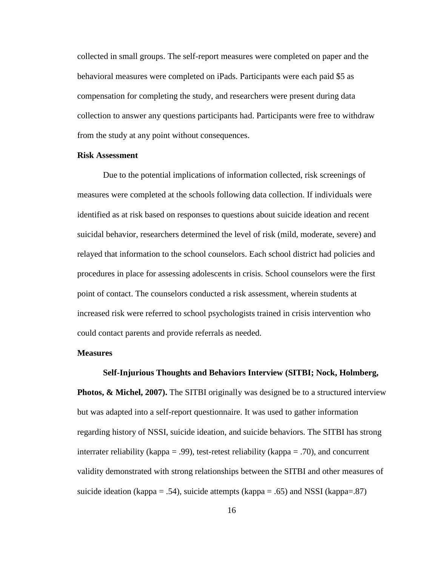collected in small groups. The self-report measures were completed on paper and the behavioral measures were completed on iPads. Participants were each paid \$5 as compensation for completing the study, and researchers were present during data collection to answer any questions participants had. Participants were free to withdraw from the study at any point without consequences.

#### **Risk Assessment**

Due to the potential implications of information collected, risk screenings of measures were completed at the schools following data collection. If individuals were identified as at risk based on responses to questions about suicide ideation and recent suicidal behavior, researchers determined the level of risk (mild, moderate, severe) and relayed that information to the school counselors. Each school district had policies and procedures in place for assessing adolescents in crisis. School counselors were the first point of contact. The counselors conducted a risk assessment, wherein students at increased risk were referred to school psychologists trained in crisis intervention who could contact parents and provide referrals as needed.

#### **Measures**

#### **Self-Injurious Thoughts and Behaviors Interview (SITBI; Nock, Holmberg,**

**Photos, & Michel, 2007).** The SITBI originally was designed be to a structured interview but was adapted into a self-report questionnaire. It was used to gather information regarding history of NSSI, suicide ideation, and suicide behaviors. The SITBI has strong interrater reliability (kappa = .99), test-retest reliability (kappa = .70), and concurrent validity demonstrated with strong relationships between the SITBI and other measures of suicide ideation (kappa = .54), suicide attempts (kappa = .65) and NSSI (kappa=.87)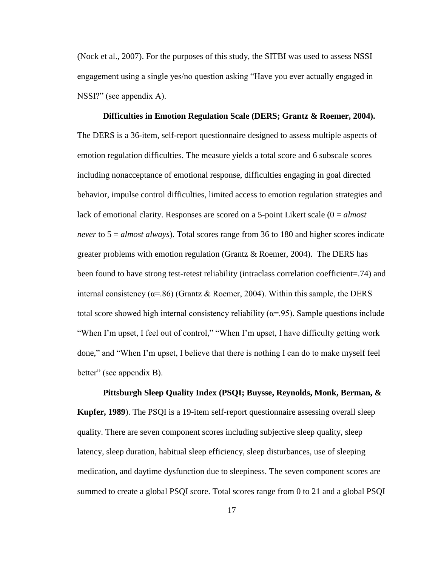(Nock et al., 2007). For the purposes of this study, the SITBI was used to assess NSSI engagement using a single yes/no question asking "Have you ever actually engaged in NSSI?" (see appendix A).

**Difficulties in Emotion Regulation Scale (DERS; Grantz & Roemer, 2004).**  The DERS is a 36-item, self-report questionnaire designed to assess multiple aspects of emotion regulation difficulties. The measure yields a total score and 6 subscale scores including nonacceptance of emotional response, difficulties engaging in goal directed behavior, impulse control difficulties, limited access to emotion regulation strategies and lack of emotional clarity. Responses are scored on a 5-point Likert scale (0 = *almost never* to 5 = *almost always*). Total scores range from 36 to 180 and higher scores indicate greater problems with emotion regulation (Grantz & Roemer, 2004). The DERS has been found to have strong test-retest reliability (intraclass correlation coefficient=.74) and internal consistency ( $\alpha$ =.86) (Grantz & Roemer, 2004). Within this sample, the DERS total score showed high internal consistency reliability ( $\alpha$ =.95). Sample questions include "When I'm upset, I feel out of control," "When I'm upset, I have difficulty getting work done," and "When I'm upset, I believe that there is nothing I can do to make myself feel better" (see appendix B).

**Pittsburgh Sleep Quality Index (PSQI; Buysse, Reynolds, Monk, Berman, & Kupfer, 1989**). The PSQI is a 19-item self-report questionnaire assessing overall sleep quality. There are seven component scores including subjective sleep quality, sleep latency, sleep duration, habitual sleep efficiency, sleep disturbances, use of sleeping medication, and daytime dysfunction due to sleepiness. The seven component scores are summed to create a global PSQI score. Total scores range from 0 to 21 and a global PSQI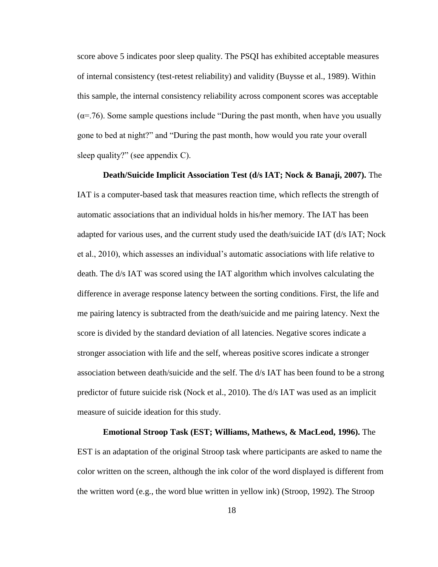score above 5 indicates poor sleep quality. The PSQI has exhibited acceptable measures of internal consistency (test-retest reliability) and validity (Buysse et al., 1989). Within this sample, the internal consistency reliability across component scores was acceptable  $(\alpha = 76)$ . Some sample questions include "During the past month, when have you usually gone to bed at night?" and "During the past month, how would you rate your overall sleep quality?" (see appendix C).

**Death/Suicide Implicit Association Test (d/s IAT; Nock & Banaji, 2007).** The IAT is a computer-based task that measures reaction time, which reflects the strength of automatic associations that an individual holds in his/her memory. The IAT has been adapted for various uses, and the current study used the death/suicide IAT (d/s IAT; Nock et al., 2010), which assesses an individual's automatic associations with life relative to death. The d/s IAT was scored using the IAT algorithm which involves calculating the difference in average response latency between the sorting conditions. First, the life and me pairing latency is subtracted from the death/suicide and me pairing latency. Next the score is divided by the standard deviation of all latencies. Negative scores indicate a stronger association with life and the self, whereas positive scores indicate a stronger association between death/suicide and the self. The d/s IAT has been found to be a strong predictor of future suicide risk (Nock et al., 2010). The d/s IAT was used as an implicit measure of suicide ideation for this study.

**Emotional Stroop Task (EST; Williams, Mathews, & MacLeod, 1996).** The EST is an adaptation of the original Stroop task where participants are asked to name the color written on the screen, although the ink color of the word displayed is different from the written word (e.g., the word blue written in yellow ink) (Stroop, 1992). The Stroop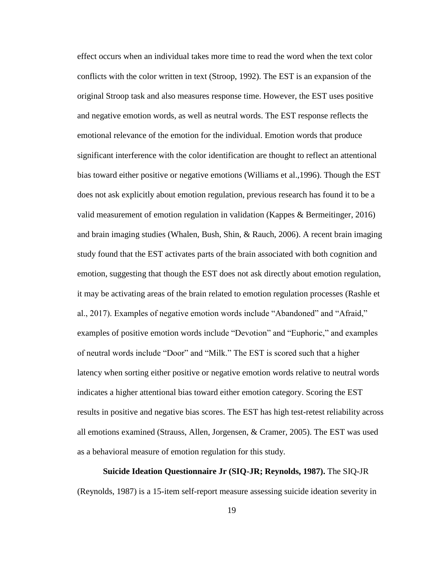effect occurs when an individual takes more time to read the word when the text color conflicts with the color written in text (Stroop, 1992). The EST is an expansion of the original Stroop task and also measures response time. However, the EST uses positive and negative emotion words, as well as neutral words. The EST response reflects the emotional relevance of the emotion for the individual. Emotion words that produce significant interference with the color identification are thought to reflect an attentional bias toward either positive or negative emotions (Williams et al.,1996). Though the EST does not ask explicitly about emotion regulation, previous research has found it to be a valid measurement of emotion regulation in validation (Kappes & Bermeitinger, 2016) and brain imaging studies (Whalen, Bush, Shin, & Rauch, 2006). A recent brain imaging study found that the EST activates parts of the brain associated with both cognition and emotion, suggesting that though the EST does not ask directly about emotion regulation, it may be activating areas of the brain related to emotion regulation processes (Rashle et al., 2017). Examples of negative emotion words include "Abandoned" and "Afraid," examples of positive emotion words include "Devotion" and "Euphoric," and examples of neutral words include "Door" and "Milk." The EST is scored such that a higher latency when sorting either positive or negative emotion words relative to neutral words indicates a higher attentional bias toward either emotion category. Scoring the EST results in positive and negative bias scores. The EST has high test-retest reliability across all emotions examined (Strauss, Allen, Jorgensen, & Cramer, 2005). The EST was used as a behavioral measure of emotion regulation for this study.

**Suicide Ideation Questionnaire Jr (SIQ-JR; Reynolds, 1987).** The SIQ-JR (Reynolds, 1987) is a 15-item self-report measure assessing suicide ideation severity in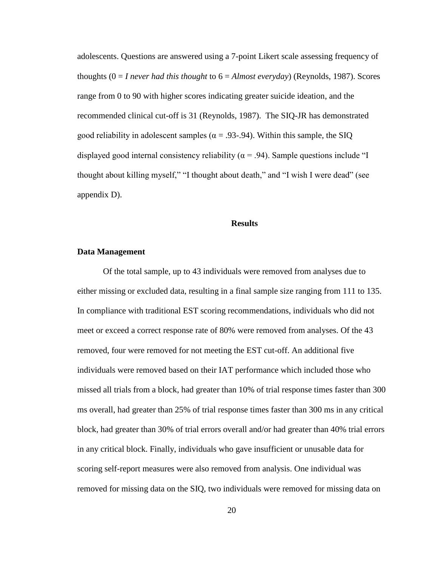adolescents. Questions are answered using a 7-point Likert scale assessing frequency of thoughts (0 = *I never had this thought* to 6 = *Almost everyday*) (Reynolds, 1987). Scores range from 0 to 90 with higher scores indicating greater suicide ideation, and the recommended clinical cut-off is 31 (Reynolds, 1987). The SIQ-JR has demonstrated good reliability in adolescent samples ( $\alpha = .93-.94$ ). Within this sample, the SIQ displayed good internal consistency reliability ( $\alpha$  = .94). Sample questions include "I thought about killing myself," "I thought about death," and "I wish I were dead" (see appendix D).

#### **Results**

#### **Data Management**

Of the total sample, up to 43 individuals were removed from analyses due to either missing or excluded data, resulting in a final sample size ranging from 111 to 135. In compliance with traditional EST scoring recommendations, individuals who did not meet or exceed a correct response rate of 80% were removed from analyses. Of the 43 removed, four were removed for not meeting the EST cut-off. An additional five individuals were removed based on their IAT performance which included those who missed all trials from a block, had greater than 10% of trial response times faster than 300 ms overall, had greater than 25% of trial response times faster than 300 ms in any critical block, had greater than 30% of trial errors overall and/or had greater than 40% trial errors in any critical block. Finally, individuals who gave insufficient or unusable data for scoring self-report measures were also removed from analysis. One individual was removed for missing data on the SIQ, two individuals were removed for missing data on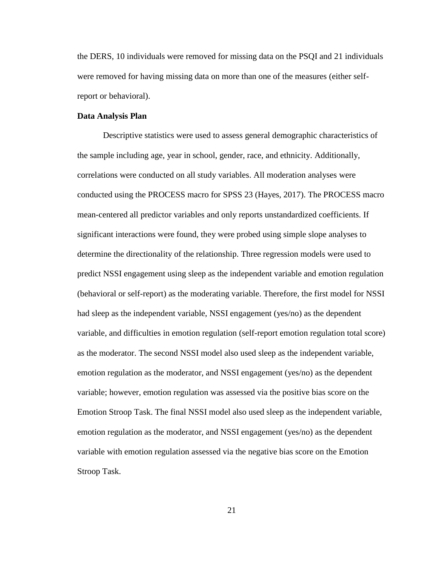the DERS, 10 individuals were removed for missing data on the PSQI and 21 individuals were removed for having missing data on more than one of the measures (either selfreport or behavioral).

#### **Data Analysis Plan**

Descriptive statistics were used to assess general demographic characteristics of the sample including age, year in school, gender, race, and ethnicity. Additionally, correlations were conducted on all study variables. All moderation analyses were conducted using the PROCESS macro for SPSS 23 (Hayes, 2017). The PROCESS macro mean-centered all predictor variables and only reports unstandardized coefficients. If significant interactions were found, they were probed using simple slope analyses to determine the directionality of the relationship. Three regression models were used to predict NSSI engagement using sleep as the independent variable and emotion regulation (behavioral or self-report) as the moderating variable. Therefore, the first model for NSSI had sleep as the independent variable, NSSI engagement (yes/no) as the dependent variable, and difficulties in emotion regulation (self-report emotion regulation total score) as the moderator. The second NSSI model also used sleep as the independent variable, emotion regulation as the moderator, and NSSI engagement (yes/no) as the dependent variable; however, emotion regulation was assessed via the positive bias score on the Emotion Stroop Task. The final NSSI model also used sleep as the independent variable, emotion regulation as the moderator, and NSSI engagement (yes/no) as the dependent variable with emotion regulation assessed via the negative bias score on the Emotion Stroop Task.

21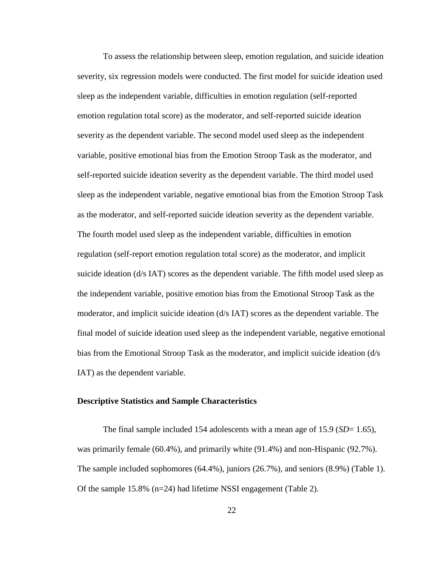To assess the relationship between sleep, emotion regulation, and suicide ideation severity, six regression models were conducted. The first model for suicide ideation used sleep as the independent variable, difficulties in emotion regulation (self-reported emotion regulation total score) as the moderator, and self-reported suicide ideation severity as the dependent variable. The second model used sleep as the independent variable, positive emotional bias from the Emotion Stroop Task as the moderator, and self-reported suicide ideation severity as the dependent variable. The third model used sleep as the independent variable, negative emotional bias from the Emotion Stroop Task as the moderator, and self-reported suicide ideation severity as the dependent variable. The fourth model used sleep as the independent variable, difficulties in emotion regulation (self-report emotion regulation total score) as the moderator, and implicit suicide ideation (d/s IAT) scores as the dependent variable. The fifth model used sleep as the independent variable, positive emotion bias from the Emotional Stroop Task as the moderator, and implicit suicide ideation (d/s IAT) scores as the dependent variable. The final model of suicide ideation used sleep as the independent variable, negative emotional bias from the Emotional Stroop Task as the moderator, and implicit suicide ideation (d/s IAT) as the dependent variable.

#### **Descriptive Statistics and Sample Characteristics**

The final sample included 154 adolescents with a mean age of 15.9 (*SD*= 1.65), was primarily female (60.4%), and primarily white (91.4%) and non-Hispanic (92.7%). The sample included sophomores (64.4%), juniors (26.7%), and seniors (8.9%) (Table 1). Of the sample 15.8% (n=24) had lifetime NSSI engagement (Table 2).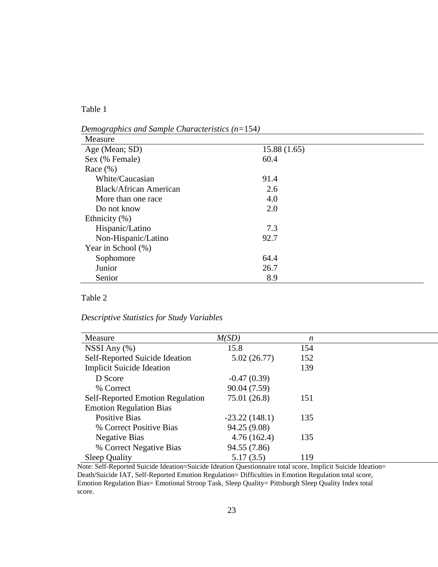Table 1

| Measure                       |             |  |
|-------------------------------|-------------|--|
| Age (Mean; SD)                | 15.88(1.65) |  |
| Sex (% Female)                | 60.4        |  |
| Race $(\% )$                  |             |  |
| White/Caucasian               | 91.4        |  |
| <b>Black/African American</b> | 2.6         |  |
| More than one race            | 4.0         |  |
| Do not know                   | 2.0         |  |
| Ethnicity $(\% )$             |             |  |
| Hispanic/Latino               | 7.3         |  |
| Non-Hispanic/Latino           | 92.7        |  |
| Year in School (%)            |             |  |
| Sophomore                     | 64.4        |  |
| Junior                        | 26.7        |  |
| Senior                        | 8.9         |  |

*Demographics and Sample Characteristics (n=*154*)*

#### Table 2

*Descriptive Statistics for Study Variables*

| Measure                                 | M(SD)           | n   |  |
|-----------------------------------------|-----------------|-----|--|
| NSSI Any $(\% )$                        | 15.8            | 154 |  |
| Self-Reported Suicide Ideation          | 5.02(26.77)     | 152 |  |
| <b>Implicit Suicide Ideation</b>        |                 | 139 |  |
| D Score                                 | $-0.47(0.39)$   |     |  |
| % Correct                               | 90.04 (7.59)    |     |  |
| <b>Self-Reported Emotion Regulation</b> | 75.01 (26.8)    | 151 |  |
| <b>Emotion Regulation Bias</b>          |                 |     |  |
| <b>Positive Bias</b>                    | $-23.22(148.1)$ | 135 |  |
| % Correct Positive Bias                 | 94.25 (9.08)    |     |  |
| <b>Negative Bias</b>                    | 4.76(162.4)     | 135 |  |
| % Correct Negative Bias                 | 94.55 (7.86)    |     |  |
| <b>Sleep Quality</b>                    | 5.17(3.5)       | 119 |  |

Note: Self-Reported Suicide Ideation=Suicide Ideation Questionnaire total score, Implicit Suicide Ideation= Death/Suicide IAT, Self-Reported Emotion Regulation= Difficulties in Emotion Regulation total score, Emotion Regulation Bias= Emotional Stroop Task, Sleep Quality= Pittsburgh Sleep Quality Index total score.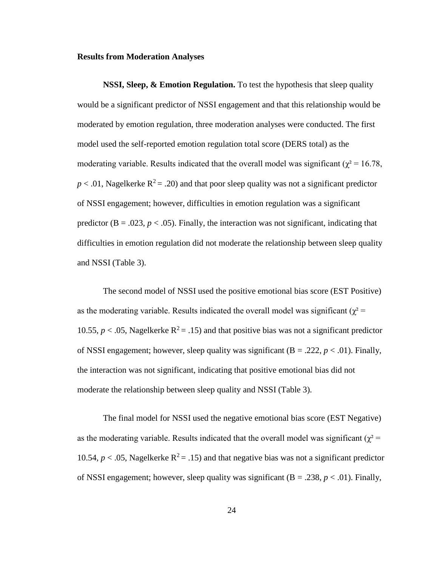#### **Results from Moderation Analyses**

**NSSI, Sleep, & Emotion Regulation.** To test the hypothesis that sleep quality would be a significant predictor of NSSI engagement and that this relationship would be moderated by emotion regulation, three moderation analyses were conducted. The first model used the self-reported emotion regulation total score (DERS total) as the moderating variable. Results indicated that the overall model was significant ( $\chi^2$  = 16.78,  $p < .01$ , Nagelkerke  $R^2 = .20$ ) and that poor sleep quality was not a significant predictor of NSSI engagement; however, difficulties in emotion regulation was a significant predictor ( $B = .023$ ,  $p < .05$ ). Finally, the interaction was not significant, indicating that difficulties in emotion regulation did not moderate the relationship between sleep quality and NSSI (Table 3).

The second model of NSSI used the positive emotional bias score (EST Positive) as the moderating variable. Results indicated the overall model was significant ( $\chi^2$  = 10.55,  $p < 0.05$ , Nagelkerke  $R^2 = 0.15$  and that positive bias was not a significant predictor of NSSI engagement; however, sleep quality was significant  $(B = .222, p < .01)$ . Finally, the interaction was not significant, indicating that positive emotional bias did not moderate the relationship between sleep quality and NSSI (Table 3).

The final model for NSSI used the negative emotional bias score (EST Negative) as the moderating variable. Results indicated that the overall model was significant ( $\chi^2$  = 10.54,  $p < .05$ , Nagelkerke  $R^2 = .15$ ) and that negative bias was not a significant predictor of NSSI engagement; however, sleep quality was significant  $(B = .238, p < .01)$ . Finally,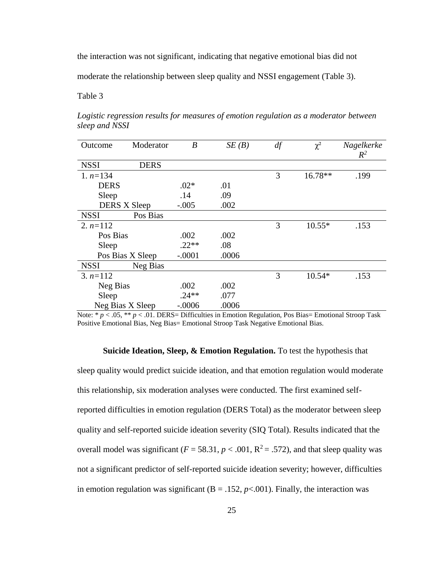the interaction was not significant, indicating that negative emotional bias did not

moderate the relationship between sleep quality and NSSI engagement (Table 3).

Table 3

| Outcome     | Moderator           | $\boldsymbol{B}$ | SE(B) | df | $\chi^2$  | Nagelkerke<br>$R^2$ |
|-------------|---------------------|------------------|-------|----|-----------|---------------------|
| <b>NSSI</b> | <b>DERS</b>         |                  |       |    |           |                     |
| 1. $n=134$  |                     |                  |       | 3  | $16.78**$ | .199                |
| <b>DERS</b> |                     | $.02*$           | .01   |    |           |                     |
| Sleep       |                     | .14              | .09   |    |           |                     |
|             | <b>DERS X Sleep</b> | $-.005$          | .002  |    |           |                     |
| <b>NSSI</b> | Pos Bias            |                  |       |    |           |                     |
| 2. $n=112$  |                     |                  |       | 3  | $10.55*$  | .153                |
| Pos Bias    |                     | .002             | .002  |    |           |                     |
| Sleep       |                     | $.22**$          | .08   |    |           |                     |
|             | Pos Bias X Sleep    | $-.0001$         | .0006 |    |           |                     |
| <b>NSSI</b> | Neg Bias            |                  |       |    |           |                     |
| $3. n=112$  |                     |                  |       | 3  | $10.54*$  | .153                |
| Neg Bias    |                     | .002             | .002  |    |           |                     |
| Sleep       |                     | $.24**$          | .077  |    |           |                     |
|             | Neg Bias X Sleep    | $-.0006$         | .0006 |    |           |                     |

*Logistic regression results for measures of emotion regulation as a moderator between sleep and NSSI*

Note:  $* p < .05$ ,  $** p < .01$ . DERS= Difficulties in Emotion Regulation, Pos Bias= Emotional Stroop Task Positive Emotional Bias, Neg Bias= Emotional Stroop Task Negative Emotional Bias.

#### **Suicide Ideation, Sleep, & Emotion Regulation.** To test the hypothesis that

sleep quality would predict suicide ideation, and that emotion regulation would moderate this relationship, six moderation analyses were conducted. The first examined selfreported difficulties in emotion regulation (DERS Total) as the moderator between sleep quality and self-reported suicide ideation severity (SIQ Total). Results indicated that the overall model was significant ( $F = 58.31$ ,  $p < .001$ ,  $R^2 = .572$ ), and that sleep quality was not a significant predictor of self-reported suicide ideation severity; however, difficulties in emotion regulation was significant  $(B = .152, p < .001)$ . Finally, the interaction was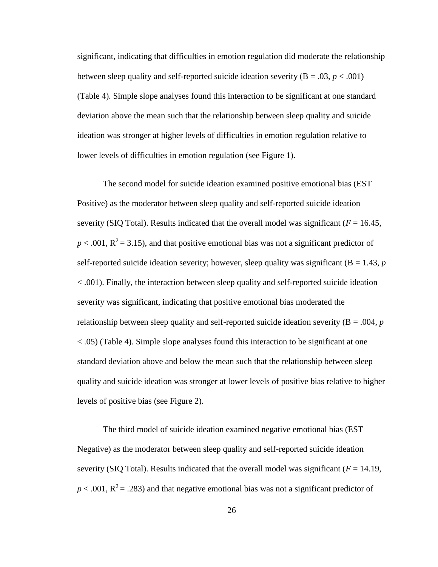significant, indicating that difficulties in emotion regulation did moderate the relationship between sleep quality and self-reported suicide ideation severity  $(B = .03, p < .001)$ (Table 4). Simple slope analyses found this interaction to be significant at one standard deviation above the mean such that the relationship between sleep quality and suicide ideation was stronger at higher levels of difficulties in emotion regulation relative to lower levels of difficulties in emotion regulation (see Figure 1).

The second model for suicide ideation examined positive emotional bias (EST Positive) as the moderator between sleep quality and self-reported suicide ideation severity (SIQ Total). Results indicated that the overall model was significant ( $F = 16.45$ ,  $p < .001$ ,  $R^2 = 3.15$ ), and that positive emotional bias was not a significant predictor of self-reported suicide ideation severity; however, sleep quality was significant  $(B = 1.43, p)$ < .001). Finally, the interaction between sleep quality and self-reported suicide ideation severity was significant, indicating that positive emotional bias moderated the relationship between sleep quality and self-reported suicide ideation severity ( $B = .004$ ,  $p$ ) < .05) (Table 4). Simple slope analyses found this interaction to be significant at one standard deviation above and below the mean such that the relationship between sleep quality and suicide ideation was stronger at lower levels of positive bias relative to higher levels of positive bias (see Figure 2).

The third model of suicide ideation examined negative emotional bias (EST Negative) as the moderator between sleep quality and self-reported suicide ideation severity (SIQ Total). Results indicated that the overall model was significant ( $F = 14.19$ ,  $p < .001$ ,  $R^2 = .283$ ) and that negative emotional bias was not a significant predictor of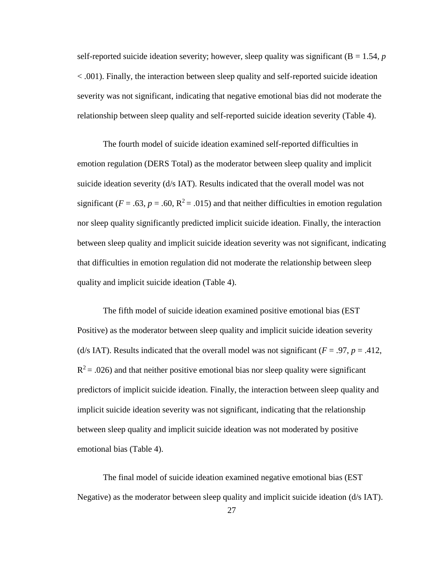self-reported suicide ideation severity; however, sleep quality was significant  $(B = 1.54, p)$ < .001). Finally, the interaction between sleep quality and self-reported suicide ideation severity was not significant, indicating that negative emotional bias did not moderate the relationship between sleep quality and self-reported suicide ideation severity (Table 4).

The fourth model of suicide ideation examined self-reported difficulties in emotion regulation (DERS Total) as the moderator between sleep quality and implicit suicide ideation severity (d/s IAT). Results indicated that the overall model was not significant ( $F = .63$ ,  $p = .60$ ,  $R^2 = .015$ ) and that neither difficulties in emotion regulation nor sleep quality significantly predicted implicit suicide ideation. Finally, the interaction between sleep quality and implicit suicide ideation severity was not significant, indicating that difficulties in emotion regulation did not moderate the relationship between sleep quality and implicit suicide ideation (Table 4).

The fifth model of suicide ideation examined positive emotional bias (EST Positive) as the moderator between sleep quality and implicit suicide ideation severity (d/s IAT). Results indicated that the overall model was not significant ( $F = .97$ ,  $p = .412$ ,  $R<sup>2</sup> = .026$ ) and that neither positive emotional bias nor sleep quality were significant predictors of implicit suicide ideation. Finally, the interaction between sleep quality and implicit suicide ideation severity was not significant, indicating that the relationship between sleep quality and implicit suicide ideation was not moderated by positive emotional bias (Table 4).

The final model of suicide ideation examined negative emotional bias (EST Negative) as the moderator between sleep quality and implicit suicide ideation (d/s IAT).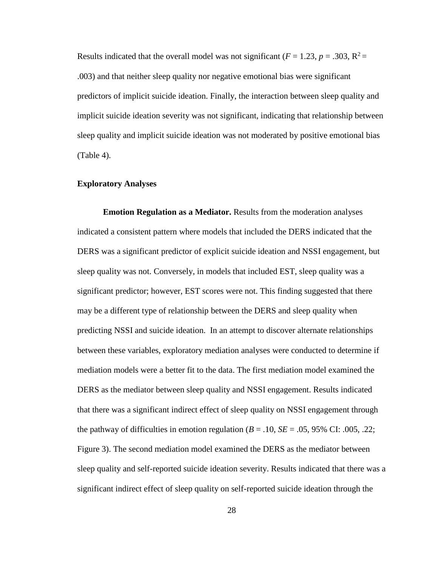Results indicated that the overall model was not significant ( $F = 1.23$ ,  $p = .303$ ,  $R^2 =$ .003) and that neither sleep quality nor negative emotional bias were significant predictors of implicit suicide ideation. Finally, the interaction between sleep quality and implicit suicide ideation severity was not significant, indicating that relationship between sleep quality and implicit suicide ideation was not moderated by positive emotional bias (Table 4).

# **Exploratory Analyses**

**Emotion Regulation as a Mediator.** Results from the moderation analyses indicated a consistent pattern where models that included the DERS indicated that the DERS was a significant predictor of explicit suicide ideation and NSSI engagement, but sleep quality was not. Conversely, in models that included EST, sleep quality was a significant predictor; however, EST scores were not. This finding suggested that there may be a different type of relationship between the DERS and sleep quality when predicting NSSI and suicide ideation. In an attempt to discover alternate relationships between these variables, exploratory mediation analyses were conducted to determine if mediation models were a better fit to the data. The first mediation model examined the DERS as the mediator between sleep quality and NSSI engagement. Results indicated that there was a significant indirect effect of sleep quality on NSSI engagement through the pathway of difficulties in emotion regulation  $(B = .10, SE = .05, 95\% \text{ CI: } .005, .22;$ Figure 3). The second mediation model examined the DERS as the mediator between sleep quality and self-reported suicide ideation severity. Results indicated that there was a significant indirect effect of sleep quality on self-reported suicide ideation through the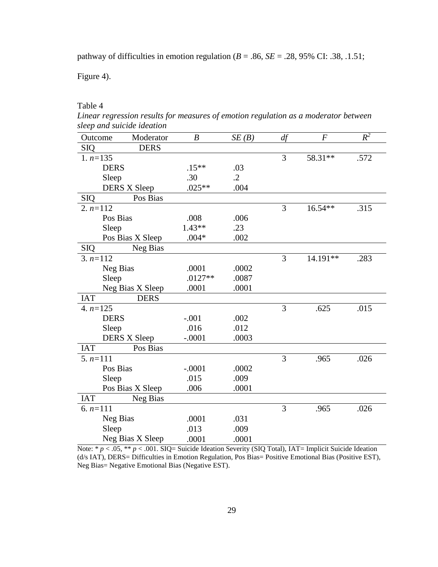pathway of difficulties in emotion regulation ( $B = .86$ ,  $SE = .28$ , 95% CI: .38, .1.51;

Figure 4).

Table 4

*Linear regression results for measures of emotion regulation as a moderator between sleep and suicide ideation*

| Outcome    | Moderator           | $\boldsymbol{B}$ | SE(B)     | df | $\boldsymbol{F}$ | $R^2$ |
|------------|---------------------|------------------|-----------|----|------------------|-------|
| <b>SIQ</b> | <b>DERS</b>         |                  |           |    |                  |       |
| $1. n=135$ |                     |                  |           | 3  | 58.31**          | .572  |
|            | <b>DERS</b>         | $.15***$         | .03       |    |                  |       |
|            | Sleep               | .30              | $\cdot$ 2 |    |                  |       |
|            | <b>DERS X Sleep</b> | $.025**$         | .004      |    |                  |       |
| <b>SIQ</b> | Pos Bias            |                  |           |    |                  |       |
| $2. n=112$ |                     |                  |           | 3  | $16.54**$        | .315  |
|            | Pos Bias            | .008             | .006      |    |                  |       |
|            | Sleep               | $1.43**$         | .23       |    |                  |       |
|            | Pos Bias X Sleep    | $.004*$          | .002      |    |                  |       |
| <b>SIQ</b> | Neg Bias            |                  |           |    |                  |       |
| $3. n=112$ |                     |                  |           | 3  | 14.191**         | .283  |
|            | Neg Bias            | .0001            | .0002     |    |                  |       |
|            | Sleep               | $.0127**$        | .0087     |    |                  |       |
|            | Neg Bias X Sleep    | .0001            | .0001     |    |                  |       |
| <b>IAT</b> | <b>DERS</b>         |                  |           |    |                  |       |
| 4. $n=125$ |                     |                  |           | 3  | .625             | .015  |
|            | <b>DERS</b>         | $-.001$          | .002      |    |                  |       |
|            | Sleep               | .016             | .012      |    |                  |       |
|            | <b>DERS X Sleep</b> | $-.0001$         | .0003     |    |                  |       |
| <b>IAT</b> | Pos Bias            |                  |           |    |                  |       |
| $5. n=111$ |                     |                  |           | 3  | .965             | .026  |
|            | Pos Bias            | $-.0001$         | .0002     |    |                  |       |
|            | Sleep               | .015             | .009      |    |                  |       |
|            | Pos Bias X Sleep    | .006             | .0001     |    |                  |       |
| <b>IAT</b> | Neg Bias            |                  |           |    |                  |       |
| 6. $n=111$ |                     |                  |           | 3  | .965             | .026  |
|            | Neg Bias            | .0001            | .031      |    |                  |       |
|            | Sleep               | .013             | .009      |    |                  |       |
|            | Neg Bias X Sleep    | .0001            | .0001     |    |                  |       |

Note: \* *p* < .05, \*\* *p* < .001. SIQ= Suicide Ideation Severity (SIQ Total), IAT= Implicit Suicide Ideation (d/s IAT), DERS= Difficulties in Emotion Regulation, Pos Bias= Positive Emotional Bias (Positive EST), Neg Bias= Negative Emotional Bias (Negative EST).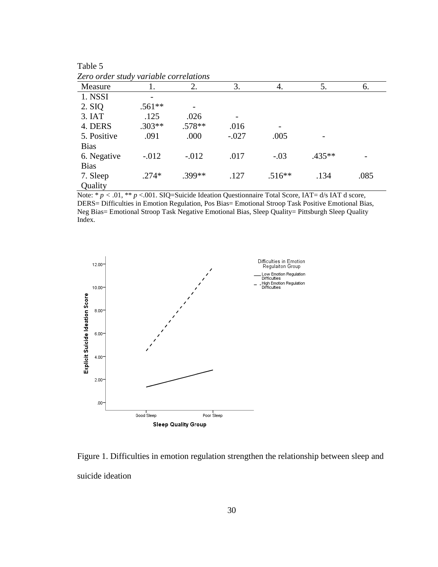| Lero oraer stuay variable correlations |          |          |         |          |        |      |
|----------------------------------------|----------|----------|---------|----------|--------|------|
| Measure                                |          | 2.       | 3.      | 4.       | 5.     | 6.   |
| 1. NSSI                                |          |          |         |          |        |      |
| 2. SIQ                                 | $.561**$ |          |         |          |        |      |
| 3. IAT                                 | .125     | .026     |         |          |        |      |
| 4. DERS                                | $.303**$ | $.578**$ | .016    |          |        |      |
| 5. Positive                            | .091     | .000     | $-.027$ | .005     |        |      |
| <b>Bias</b>                            |          |          |         |          |        |      |
| 6. Negative                            | $-.012$  | $-.012$  | .017    | $-.03$   | .435** |      |
| <b>Bias</b>                            |          |          |         |          |        |      |
| 7. Sleep                               | $.274*$  | .399**   | .127    | $.516**$ | .134   | .085 |
| Quality                                |          |          |         |          |        |      |

Table  $5\overline{Z_{\text{area}}}\$ *Zero order study variable correlations*

Note: \* *p <* .01, \*\* *p* <.001. SIQ=Suicide Ideation Questionnaire Total Score, IAT= d/s IAT d score, DERS= Difficulties in Emotion Regulation, Pos Bias= Emotional Stroop Task Positive Emotional Bias, Neg Bias= Emotional Stroop Task Negative Emotional Bias, Sleep Quality= Pittsburgh Sleep Quality Index.



Figure 1. Difficulties in emotion regulation strengthen the relationship between sleep and suicide ideation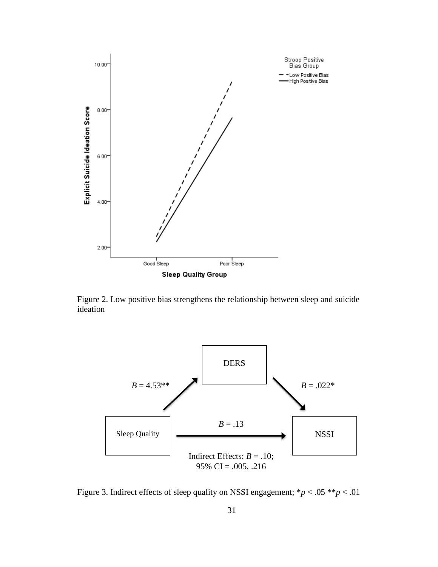

Figure 2. Low positive bias strengthens the relationship between sleep and suicide ideation



Figure 3. Indirect effects of sleep quality on NSSI engagement; \**p* < .05 \*\**p* < .01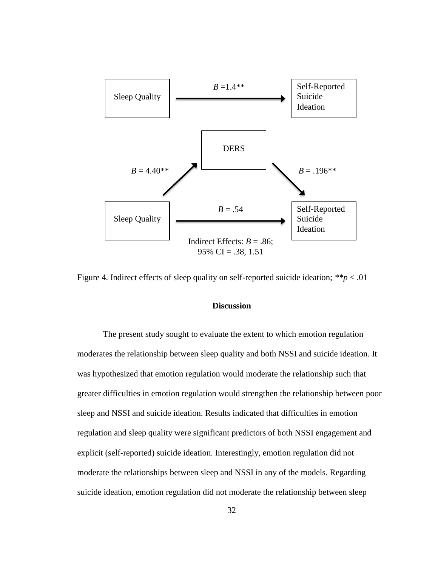

Figure 4. Indirect effects of sleep quality on self-reported suicide ideation; *\*\*p* < .01

# **Discussion**

The present study sought to evaluate the extent to which emotion regulation moderates the relationship between sleep quality and both NSSI and suicide ideation. It was hypothesized that emotion regulation would moderate the relationship such that greater difficulties in emotion regulation would strengthen the relationship between poor sleep and NSSI and suicide ideation. Results indicated that difficulties in emotion regulation and sleep quality were significant predictors of both NSSI engagement and explicit (self-reported) suicide ideation. Interestingly, emotion regulation did not moderate the relationships between sleep and NSSI in any of the models. Regarding suicide ideation, emotion regulation did not moderate the relationship between sleep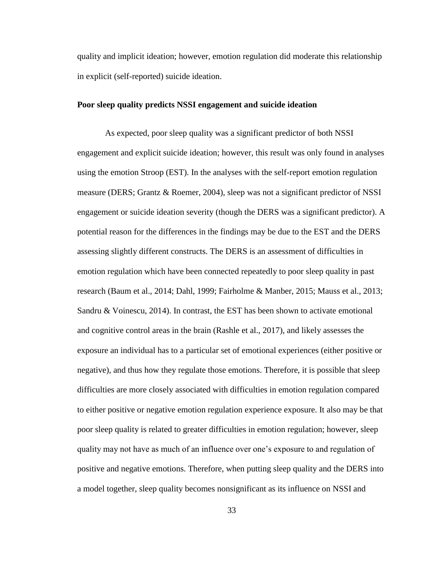quality and implicit ideation; however, emotion regulation did moderate this relationship in explicit (self-reported) suicide ideation.

#### **Poor sleep quality predicts NSSI engagement and suicide ideation**

As expected, poor sleep quality was a significant predictor of both NSSI engagement and explicit suicide ideation; however, this result was only found in analyses using the emotion Stroop (EST). In the analyses with the self-report emotion regulation measure (DERS; Grantz & Roemer, 2004), sleep was not a significant predictor of NSSI engagement or suicide ideation severity (though the DERS was a significant predictor). A potential reason for the differences in the findings may be due to the EST and the DERS assessing slightly different constructs. The DERS is an assessment of difficulties in emotion regulation which have been connected repeatedly to poor sleep quality in past research (Baum et al., 2014; Dahl, 1999; Fairholme & Manber, 2015; Mauss et al., 2013; Sandru & Voinescu, 2014). In contrast, the EST has been shown to activate emotional and cognitive control areas in the brain (Rashle et al., 2017), and likely assesses the exposure an individual has to a particular set of emotional experiences (either positive or negative), and thus how they regulate those emotions. Therefore, it is possible that sleep difficulties are more closely associated with difficulties in emotion regulation compared to either positive or negative emotion regulation experience exposure. It also may be that poor sleep quality is related to greater difficulties in emotion regulation; however, sleep quality may not have as much of an influence over one's exposure to and regulation of positive and negative emotions. Therefore, when putting sleep quality and the DERS into a model together, sleep quality becomes nonsignificant as its influence on NSSI and

33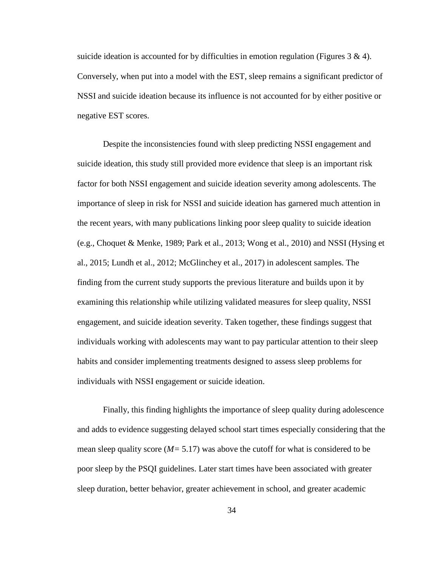suicide ideation is accounted for by difficulties in emotion regulation (Figures  $3 \& 4$ ). Conversely, when put into a model with the EST, sleep remains a significant predictor of NSSI and suicide ideation because its influence is not accounted for by either positive or negative EST scores.

Despite the inconsistencies found with sleep predicting NSSI engagement and suicide ideation, this study still provided more evidence that sleep is an important risk factor for both NSSI engagement and suicide ideation severity among adolescents. The importance of sleep in risk for NSSI and suicide ideation has garnered much attention in the recent years, with many publications linking poor sleep quality to suicide ideation (e.g., Choquet & Menke, 1989; Park et al., 2013; Wong et al., 2010) and NSSI (Hysing et al., 2015; Lundh et al., 2012; McGlinchey et al., 2017) in adolescent samples. The finding from the current study supports the previous literature and builds upon it by examining this relationship while utilizing validated measures for sleep quality, NSSI engagement, and suicide ideation severity. Taken together, these findings suggest that individuals working with adolescents may want to pay particular attention to their sleep habits and consider implementing treatments designed to assess sleep problems for individuals with NSSI engagement or suicide ideation.

Finally, this finding highlights the importance of sleep quality during adolescence and adds to evidence suggesting delayed school start times especially considering that the mean sleep quality score (*M=* 5.17) was above the cutoff for what is considered to be poor sleep by the PSQI guidelines. Later start times have been associated with greater sleep duration, better behavior, greater achievement in school, and greater academic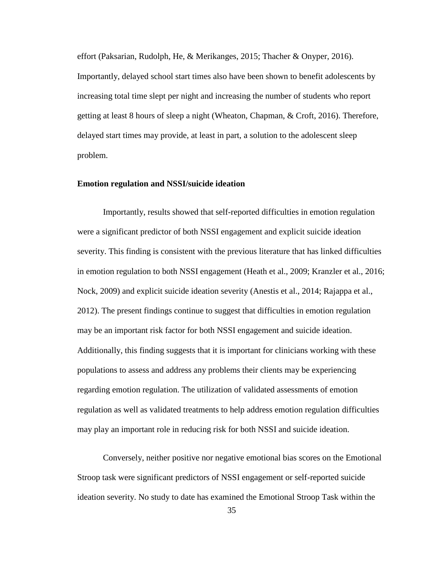effort (Paksarian, Rudolph, He, & Merikanges, 2015; Thacher & Onyper, 2016). Importantly, delayed school start times also have been shown to benefit adolescents by increasing total time slept per night and increasing the number of students who report getting at least 8 hours of sleep a night (Wheaton, Chapman, & Croft, 2016). Therefore, delayed start times may provide, at least in part, a solution to the adolescent sleep problem.

#### **Emotion regulation and NSSI/suicide ideation**

Importantly, results showed that self-reported difficulties in emotion regulation were a significant predictor of both NSSI engagement and explicit suicide ideation severity. This finding is consistent with the previous literature that has linked difficulties in emotion regulation to both NSSI engagement (Heath et al., 2009; Kranzler et al., 2016; Nock, 2009) and explicit suicide ideation severity (Anestis et al., 2014; Rajappa et al., 2012). The present findings continue to suggest that difficulties in emotion regulation may be an important risk factor for both NSSI engagement and suicide ideation. Additionally, this finding suggests that it is important for clinicians working with these populations to assess and address any problems their clients may be experiencing regarding emotion regulation. The utilization of validated assessments of emotion regulation as well as validated treatments to help address emotion regulation difficulties may play an important role in reducing risk for both NSSI and suicide ideation.

Conversely, neither positive nor negative emotional bias scores on the Emotional Stroop task were significant predictors of NSSI engagement or self-reported suicide ideation severity. No study to date has examined the Emotional Stroop Task within the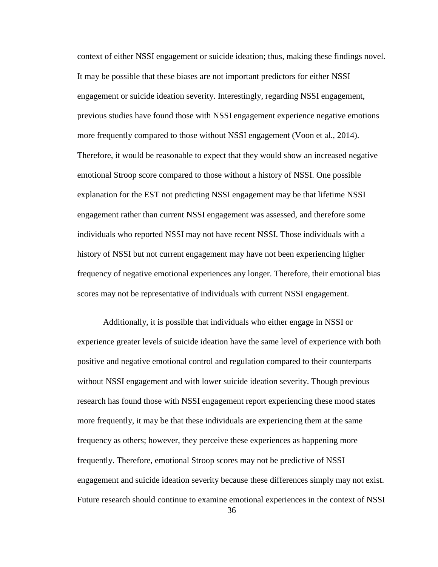context of either NSSI engagement or suicide ideation; thus, making these findings novel. It may be possible that these biases are not important predictors for either NSSI engagement or suicide ideation severity. Interestingly, regarding NSSI engagement, previous studies have found those with NSSI engagement experience negative emotions more frequently compared to those without NSSI engagement (Voon et al., 2014). Therefore, it would be reasonable to expect that they would show an increased negative emotional Stroop score compared to those without a history of NSSI. One possible explanation for the EST not predicting NSSI engagement may be that lifetime NSSI engagement rather than current NSSI engagement was assessed, and therefore some individuals who reported NSSI may not have recent NSSI. Those individuals with a history of NSSI but not current engagement may have not been experiencing higher frequency of negative emotional experiences any longer. Therefore, their emotional bias scores may not be representative of individuals with current NSSI engagement.

Additionally, it is possible that individuals who either engage in NSSI or experience greater levels of suicide ideation have the same level of experience with both positive and negative emotional control and regulation compared to their counterparts without NSSI engagement and with lower suicide ideation severity. Though previous research has found those with NSSI engagement report experiencing these mood states more frequently, it may be that these individuals are experiencing them at the same frequency as others; however, they perceive these experiences as happening more frequently. Therefore, emotional Stroop scores may not be predictive of NSSI engagement and suicide ideation severity because these differences simply may not exist. Future research should continue to examine emotional experiences in the context of NSSI

36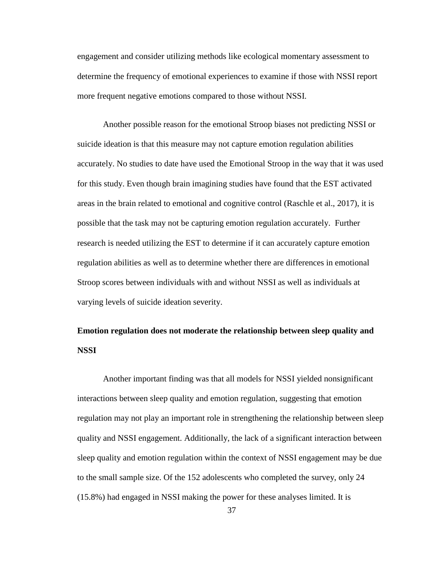engagement and consider utilizing methods like ecological momentary assessment to determine the frequency of emotional experiences to examine if those with NSSI report more frequent negative emotions compared to those without NSSI.

Another possible reason for the emotional Stroop biases not predicting NSSI or suicide ideation is that this measure may not capture emotion regulation abilities accurately. No studies to date have used the Emotional Stroop in the way that it was used for this study. Even though brain imagining studies have found that the EST activated areas in the brain related to emotional and cognitive control (Raschle et al., 2017), it is possible that the task may not be capturing emotion regulation accurately. Further research is needed utilizing the EST to determine if it can accurately capture emotion regulation abilities as well as to determine whether there are differences in emotional Stroop scores between individuals with and without NSSI as well as individuals at varying levels of suicide ideation severity.

# **Emotion regulation does not moderate the relationship between sleep quality and NSSI**

Another important finding was that all models for NSSI yielded nonsignificant interactions between sleep quality and emotion regulation, suggesting that emotion regulation may not play an important role in strengthening the relationship between sleep quality and NSSI engagement. Additionally, the lack of a significant interaction between sleep quality and emotion regulation within the context of NSSI engagement may be due to the small sample size. Of the 152 adolescents who completed the survey, only 24 (15.8%) had engaged in NSSI making the power for these analyses limited. It is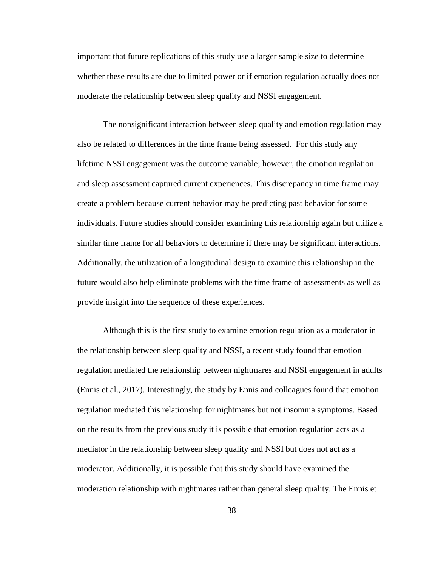important that future replications of this study use a larger sample size to determine whether these results are due to limited power or if emotion regulation actually does not moderate the relationship between sleep quality and NSSI engagement.

The nonsignificant interaction between sleep quality and emotion regulation may also be related to differences in the time frame being assessed. For this study any lifetime NSSI engagement was the outcome variable; however, the emotion regulation and sleep assessment captured current experiences. This discrepancy in time frame may create a problem because current behavior may be predicting past behavior for some individuals. Future studies should consider examining this relationship again but utilize a similar time frame for all behaviors to determine if there may be significant interactions. Additionally, the utilization of a longitudinal design to examine this relationship in the future would also help eliminate problems with the time frame of assessments as well as provide insight into the sequence of these experiences.

Although this is the first study to examine emotion regulation as a moderator in the relationship between sleep quality and NSSI, a recent study found that emotion regulation mediated the relationship between nightmares and NSSI engagement in adults (Ennis et al., 2017). Interestingly, the study by Ennis and colleagues found that emotion regulation mediated this relationship for nightmares but not insomnia symptoms. Based on the results from the previous study it is possible that emotion regulation acts as a mediator in the relationship between sleep quality and NSSI but does not act as a moderator. Additionally, it is possible that this study should have examined the moderation relationship with nightmares rather than general sleep quality. The Ennis et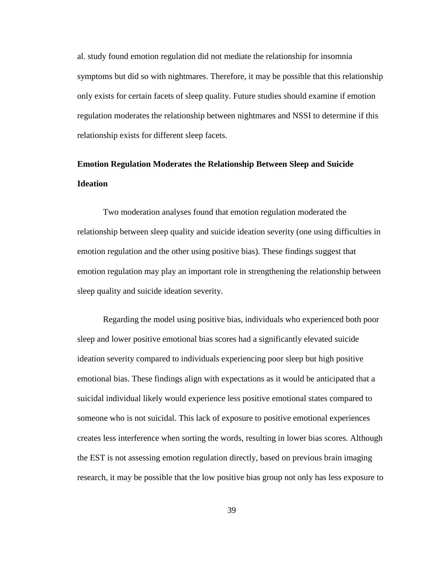al. study found emotion regulation did not mediate the relationship for insomnia symptoms but did so with nightmares. Therefore, it may be possible that this relationship only exists for certain facets of sleep quality. Future studies should examine if emotion regulation moderates the relationship between nightmares and NSSI to determine if this relationship exists for different sleep facets.

# **Emotion Regulation Moderates the Relationship Between Sleep and Suicide Ideation**

Two moderation analyses found that emotion regulation moderated the relationship between sleep quality and suicide ideation severity (one using difficulties in emotion regulation and the other using positive bias). These findings suggest that emotion regulation may play an important role in strengthening the relationship between sleep quality and suicide ideation severity.

Regarding the model using positive bias, individuals who experienced both poor sleep and lower positive emotional bias scores had a significantly elevated suicide ideation severity compared to individuals experiencing poor sleep but high positive emotional bias. These findings align with expectations as it would be anticipated that a suicidal individual likely would experience less positive emotional states compared to someone who is not suicidal. This lack of exposure to positive emotional experiences creates less interference when sorting the words, resulting in lower bias scores. Although the EST is not assessing emotion regulation directly, based on previous brain imaging research, it may be possible that the low positive bias group not only has less exposure to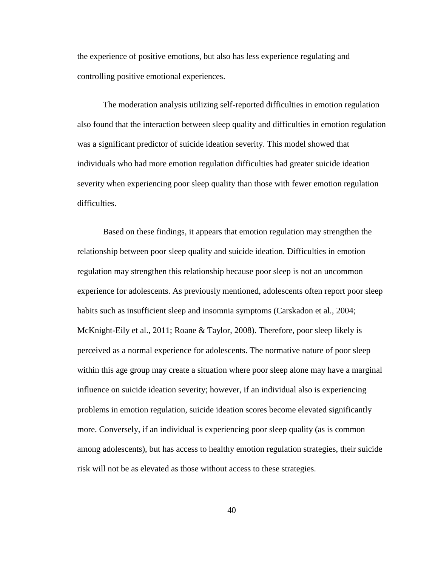the experience of positive emotions, but also has less experience regulating and controlling positive emotional experiences.

The moderation analysis utilizing self-reported difficulties in emotion regulation also found that the interaction between sleep quality and difficulties in emotion regulation was a significant predictor of suicide ideation severity. This model showed that individuals who had more emotion regulation difficulties had greater suicide ideation severity when experiencing poor sleep quality than those with fewer emotion regulation difficulties.

Based on these findings, it appears that emotion regulation may strengthen the relationship between poor sleep quality and suicide ideation. Difficulties in emotion regulation may strengthen this relationship because poor sleep is not an uncommon experience for adolescents. As previously mentioned, adolescents often report poor sleep habits such as insufficient sleep and insomnia symptoms (Carskadon et al., 2004; McKnight-Eily et al., 2011; Roane & Taylor, 2008). Therefore, poor sleep likely is perceived as a normal experience for adolescents. The normative nature of poor sleep within this age group may create a situation where poor sleep alone may have a marginal influence on suicide ideation severity; however, if an individual also is experiencing problems in emotion regulation, suicide ideation scores become elevated significantly more. Conversely, if an individual is experiencing poor sleep quality (as is common among adolescents), but has access to healthy emotion regulation strategies, their suicide risk will not be as elevated as those without access to these strategies.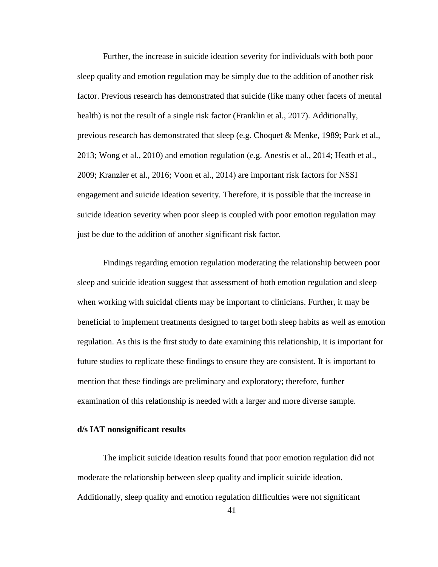Further, the increase in suicide ideation severity for individuals with both poor sleep quality and emotion regulation may be simply due to the addition of another risk factor. Previous research has demonstrated that suicide (like many other facets of mental health) is not the result of a single risk factor (Franklin et al., 2017). Additionally, previous research has demonstrated that sleep (e.g. Choquet & Menke, 1989; Park et al., 2013; Wong et al., 2010) and emotion regulation (e.g. Anestis et al., 2014; Heath et al., 2009; Kranzler et al., 2016; Voon et al., 2014) are important risk factors for NSSI engagement and suicide ideation severity. Therefore, it is possible that the increase in suicide ideation severity when poor sleep is coupled with poor emotion regulation may just be due to the addition of another significant risk factor.

Findings regarding emotion regulation moderating the relationship between poor sleep and suicide ideation suggest that assessment of both emotion regulation and sleep when working with suicidal clients may be important to clinicians. Further, it may be beneficial to implement treatments designed to target both sleep habits as well as emotion regulation. As this is the first study to date examining this relationship, it is important for future studies to replicate these findings to ensure they are consistent. It is important to mention that these findings are preliminary and exploratory; therefore, further examination of this relationship is needed with a larger and more diverse sample.

# **d/s IAT nonsignificant results**

The implicit suicide ideation results found that poor emotion regulation did not moderate the relationship between sleep quality and implicit suicide ideation. Additionally, sleep quality and emotion regulation difficulties were not significant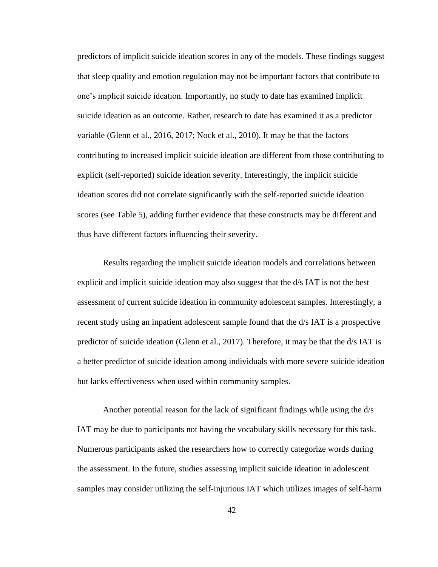predictors of implicit suicide ideation scores in any of the models. These findings suggest that sleep quality and emotion regulation may not be important factors that contribute to one's implicit suicide ideation. Importantly, no study to date has examined implicit suicide ideation as an outcome. Rather, research to date has examined it as a predictor variable (Glenn et al., 2016, 2017; Nock et al., 2010). It may be that the factors contributing to increased implicit suicide ideation are different from those contributing to explicit (self-reported) suicide ideation severity. Interestingly, the implicit suicide ideation scores did not correlate significantly with the self-reported suicide ideation scores (see Table 5), adding further evidence that these constructs may be different and thus have different factors influencing their severity.

Results regarding the implicit suicide ideation models and correlations between explicit and implicit suicide ideation may also suggest that the d/s IAT is not the best assessment of current suicide ideation in community adolescent samples. Interestingly, a recent study using an inpatient adolescent sample found that the d/s IAT is a prospective predictor of suicide ideation (Glenn et al., 2017). Therefore, it may be that the d/s IAT is a better predictor of suicide ideation among individuals with more severe suicide ideation but lacks effectiveness when used within community samples.

Another potential reason for the lack of significant findings while using the d/s IAT may be due to participants not having the vocabulary skills necessary for this task. Numerous participants asked the researchers how to correctly categorize words during the assessment. In the future, studies assessing implicit suicide ideation in adolescent samples may consider utilizing the self-injurious IAT which utilizes images of self-harm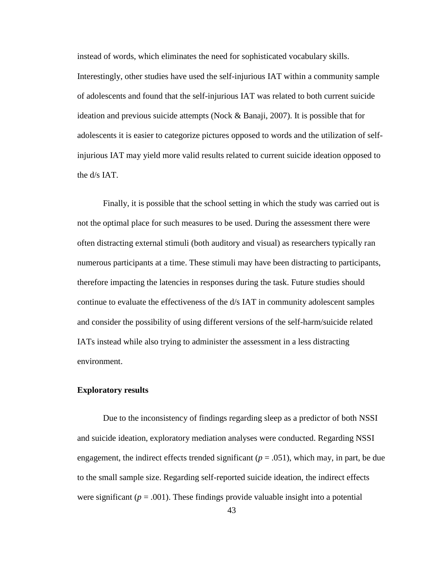instead of words, which eliminates the need for sophisticated vocabulary skills. Interestingly, other studies have used the self-injurious IAT within a community sample of adolescents and found that the self-injurious IAT was related to both current suicide ideation and previous suicide attempts (Nock & Banaji, 2007). It is possible that for adolescents it is easier to categorize pictures opposed to words and the utilization of selfinjurious IAT may yield more valid results related to current suicide ideation opposed to the d/s IAT.

Finally, it is possible that the school setting in which the study was carried out is not the optimal place for such measures to be used. During the assessment there were often distracting external stimuli (both auditory and visual) as researchers typically ran numerous participants at a time. These stimuli may have been distracting to participants, therefore impacting the latencies in responses during the task. Future studies should continue to evaluate the effectiveness of the d/s IAT in community adolescent samples and consider the possibility of using different versions of the self-harm/suicide related IATs instead while also trying to administer the assessment in a less distracting environment.

## **Exploratory results**

Due to the inconsistency of findings regarding sleep as a predictor of both NSSI and suicide ideation, exploratory mediation analyses were conducted. Regarding NSSI engagement, the indirect effects trended significant  $(p = .051)$ , which may, in part, be due to the small sample size. Regarding self-reported suicide ideation, the indirect effects were significant ( $p = .001$ ). These findings provide valuable insight into a potential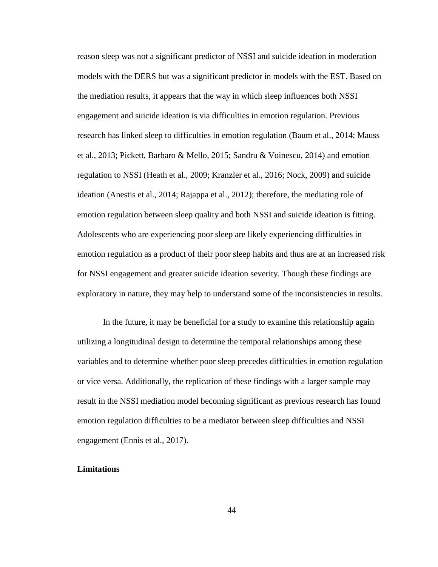reason sleep was not a significant predictor of NSSI and suicide ideation in moderation models with the DERS but was a significant predictor in models with the EST. Based on the mediation results, it appears that the way in which sleep influences both NSSI engagement and suicide ideation is via difficulties in emotion regulation. Previous research has linked sleep to difficulties in emotion regulation (Baum et al., 2014; Mauss et al., 2013; Pickett, Barbaro & Mello, 2015; Sandru & Voinescu, 2014) and emotion regulation to NSSI (Heath et al., 2009; Kranzler et al., 2016; Nock, 2009) and suicide ideation (Anestis et al., 2014; Rajappa et al., 2012); therefore, the mediating role of emotion regulation between sleep quality and both NSSI and suicide ideation is fitting. Adolescents who are experiencing poor sleep are likely experiencing difficulties in emotion regulation as a product of their poor sleep habits and thus are at an increased risk for NSSI engagement and greater suicide ideation severity. Though these findings are exploratory in nature, they may help to understand some of the inconsistencies in results.

In the future, it may be beneficial for a study to examine this relationship again utilizing a longitudinal design to determine the temporal relationships among these variables and to determine whether poor sleep precedes difficulties in emotion regulation or vice versa. Additionally, the replication of these findings with a larger sample may result in the NSSI mediation model becoming significant as previous research has found emotion regulation difficulties to be a mediator between sleep difficulties and NSSI engagement (Ennis et al., 2017).

#### **Limitations**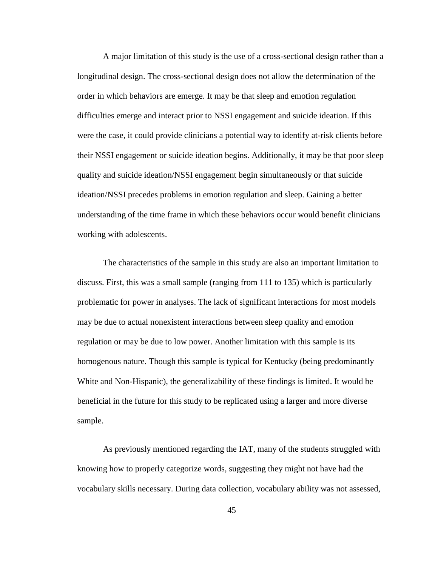A major limitation of this study is the use of a cross-sectional design rather than a longitudinal design. The cross-sectional design does not allow the determination of the order in which behaviors are emerge. It may be that sleep and emotion regulation difficulties emerge and interact prior to NSSI engagement and suicide ideation. If this were the case, it could provide clinicians a potential way to identify at-risk clients before their NSSI engagement or suicide ideation begins. Additionally, it may be that poor sleep quality and suicide ideation/NSSI engagement begin simultaneously or that suicide ideation/NSSI precedes problems in emotion regulation and sleep. Gaining a better understanding of the time frame in which these behaviors occur would benefit clinicians working with adolescents.

The characteristics of the sample in this study are also an important limitation to discuss. First, this was a small sample (ranging from 111 to 135) which is particularly problematic for power in analyses. The lack of significant interactions for most models may be due to actual nonexistent interactions between sleep quality and emotion regulation or may be due to low power. Another limitation with this sample is its homogenous nature. Though this sample is typical for Kentucky (being predominantly White and Non-Hispanic), the generalizability of these findings is limited. It would be beneficial in the future for this study to be replicated using a larger and more diverse sample.

As previously mentioned regarding the IAT, many of the students struggled with knowing how to properly categorize words, suggesting they might not have had the vocabulary skills necessary. During data collection, vocabulary ability was not assessed,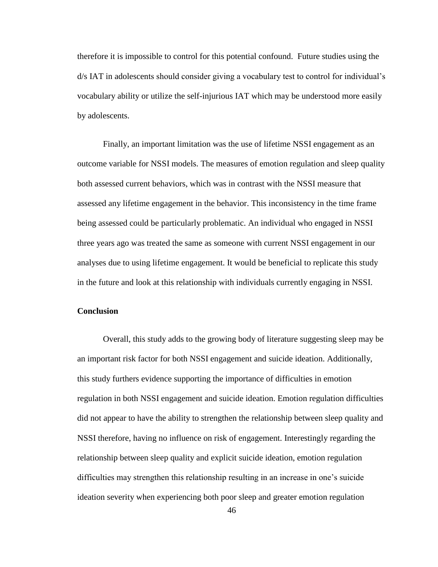therefore it is impossible to control for this potential confound. Future studies using the d/s IAT in adolescents should consider giving a vocabulary test to control for individual's vocabulary ability or utilize the self-injurious IAT which may be understood more easily by adolescents.

Finally, an important limitation was the use of lifetime NSSI engagement as an outcome variable for NSSI models. The measures of emotion regulation and sleep quality both assessed current behaviors, which was in contrast with the NSSI measure that assessed any lifetime engagement in the behavior. This inconsistency in the time frame being assessed could be particularly problematic. An individual who engaged in NSSI three years ago was treated the same as someone with current NSSI engagement in our analyses due to using lifetime engagement. It would be beneficial to replicate this study in the future and look at this relationship with individuals currently engaging in NSSI.

## **Conclusion**

Overall, this study adds to the growing body of literature suggesting sleep may be an important risk factor for both NSSI engagement and suicide ideation. Additionally, this study furthers evidence supporting the importance of difficulties in emotion regulation in both NSSI engagement and suicide ideation. Emotion regulation difficulties did not appear to have the ability to strengthen the relationship between sleep quality and NSSI therefore, having no influence on risk of engagement. Interestingly regarding the relationship between sleep quality and explicit suicide ideation, emotion regulation difficulties may strengthen this relationship resulting in an increase in one's suicide ideation severity when experiencing both poor sleep and greater emotion regulation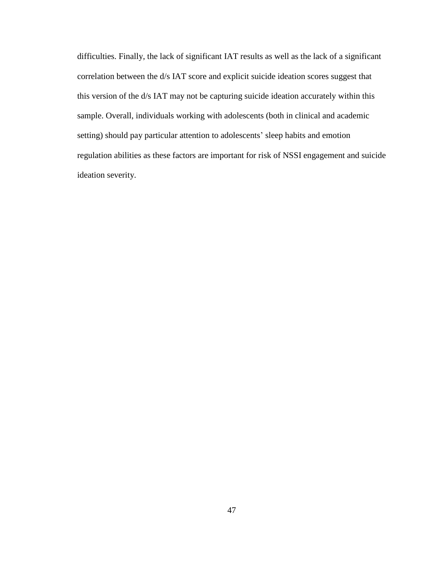difficulties. Finally, the lack of significant IAT results as well as the lack of a significant correlation between the d/s IAT score and explicit suicide ideation scores suggest that this version of the d/s IAT may not be capturing suicide ideation accurately within this sample. Overall, individuals working with adolescents (both in clinical and academic setting) should pay particular attention to adolescents' sleep habits and emotion regulation abilities as these factors are important for risk of NSSI engagement and suicide ideation severity.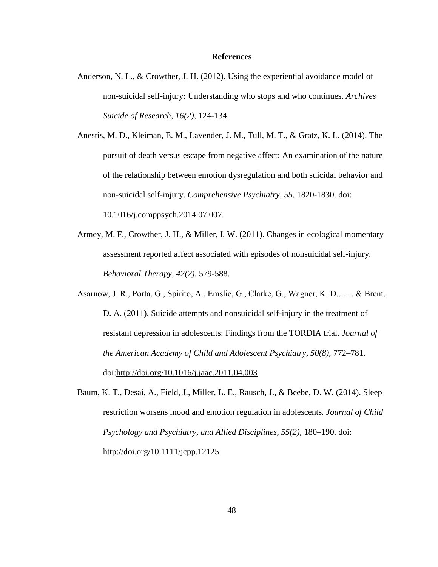#### **References**

- Anderson, N. L., & Crowther, J. H. (2012). Using the experiential avoidance model of non-suicidal self-injury: Understanding who stops and who continues. *Archives Suicide of Research, 16(2),* 124-134.
- Anestis, M. D., Kleiman, E. M., Lavender, J. M., Tull, M. T., & Gratz, K. L. (2014). The pursuit of death versus escape from negative affect: An examination of the nature of the relationship between emotion dysregulation and both suicidal behavior and non-suicidal self-injury. *Comprehensive Psychiatry, 55,* 1820-1830. doi: 10.1016/j.comppsych.2014.07.007.
- Armey, M. F., Crowther, J. H., & Miller, I. W. (2011). Changes in ecological momentary assessment reported affect associated with episodes of nonsuicidal self-injury. *Behavioral Therapy, 42(2),* 579-588.
- Asarnow, J. R., Porta, G., Spirito, A., Emslie, G., Clarke, G., Wagner, K. D., …, & Brent, D. A. (2011). Suicide attempts and nonsuicidal self-injury in the treatment of resistant depression in adolescents: Findings from the TORDIA trial. *Journal of the American Academy of Child and Adolescent Psychiatry, 50(8),* 772–781. doi[:http://doi.org/10.1016/j.jaac.2011.04.003](http://doi.org/10.1016/j.jaac.2011.04.003)
- Baum, K. T., Desai, A., Field, J., Miller, L. E., Rausch, J., & Beebe, D. W. (2014). Sleep restriction worsens mood and emotion regulation in adolescents*. Journal of Child Psychology and Psychiatry, and Allied Disciplines, 55(2),* 180–190. doi: http://doi.org/10.1111/jcpp.12125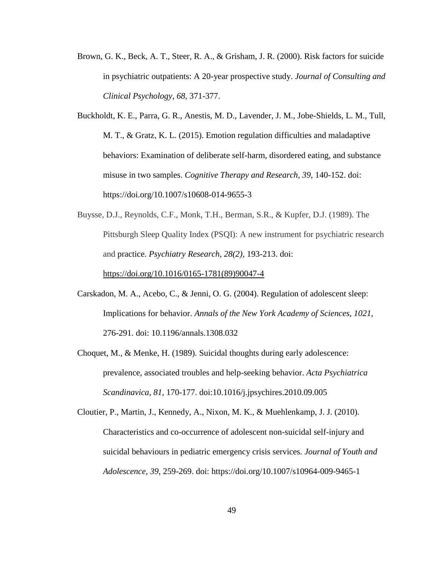- Brown, G. K., Beck, A. T., Steer, R. A., & Grisham, J. R. (2000). Risk factors for suicide in psychiatric outpatients: A 20-year prospective study. *Journal of Consulting and Clinical Psychology, 68,* 371-377.
- Buckholdt, K. E., Parra, G. R., Anestis, M. D., Lavender, J. M., Jobe-Shields, L. M., Tull, M. T., & Gratz, K. L. (2015). Emotion regulation difficulties and maladaptive behaviors: Examination of deliberate self-harm, disordered eating, and substance misuse in two samples. *Cognitive Therapy and Research, 39,* 140-152. doi: https://doi.org/10.1007/s10608-014-9655-3
- Buysse, D.J., Reynolds, C.F., Monk, T.H., Berman, S.R., & Kupfer, D.J. (1989). The Pittsburgh Sleep Quality Index (PSQI): A new instrument for psychiatric research and practice*. Psychiatry Research, 28(2),* 193-213. doi:

[https://doi.org/10.1016/0165-1781\(89\)90047-4](https://doi.org/10.1016/0165-1781(89)90047-4)

- Carskadon, M. A., Acebo, C., & Jenni, O. G. (2004). Regulation of adolescent sleep: Implications for behavior. *Annals of the New York Academy of Sciences, 1021,*  276-291. doi: 10.1196/annals.1308.032
- Choquet, M., & Menke, H. (1989). Suicidal thoughts during early adolescence: prevalence, associated troubles and help-seeking behavior. *Acta Psychiatrica Scandinavica, 81,* 170-177. doi:10.1016/j.jpsychires.2010.09.005
- Cloutier, P., Martin, J., Kennedy, A., Nixon, M. K., & Muehlenkamp, J. J. (2010). Characteristics and co-occurrence of adolescent non-suicidal self-injury and suicidal behaviours in pediatric emergency crisis services. *Journal of Youth and Adolescence, 39,* 259-269. doi: https://doi.org/10.1007/s10964-009-9465-1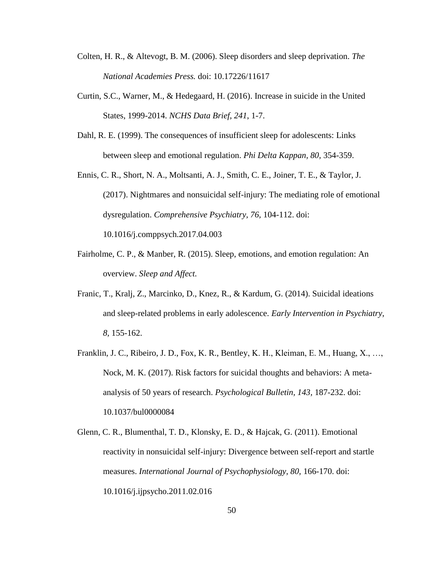- Colten, H. R., & Altevogt, B. M. (2006). Sleep disorders and sleep deprivation. *The National Academies Press.* doi: 10.17226/11617
- Curtin, S.C., Warner, M., & Hedegaard, H. (2016). Increase in suicide in the United States, 1999-2014. *NCHS Data Brief, 241*, 1-7.
- Dahl, R. E. (1999). The consequences of insufficient sleep for adolescents: Links between sleep and emotional regulation. *Phi Delta Kappan, 80,* 354-359.

Ennis, C. R., Short, N. A., Moltsanti, A. J., Smith, C. E., Joiner, T. E., & Taylor, J. (2017). Nightmares and nonsuicidal self-injury: The mediating role of emotional dysregulation. *Comprehensive Psychiatry, 76,* 104-112. doi: 10.1016/j.comppsych.2017.04.003

- Fairholme, C. P., & Manber, R. (2015). Sleep, emotions, and emotion regulation: An overview. *Sleep and Affect.*
- Franic, T., Kralj, Z., Marcinko, D., Knez, R., & Kardum, G. (2014). Suicidal ideations and sleep-related problems in early adolescence. *Early Intervention in Psychiatry, 8,* 155-162.
- Franklin, J. C., Ribeiro, J. D., Fox, K. R., Bentley, K. H., Kleiman, E. M., Huang, X., …, Nock, M. K. (2017). Risk factors for suicidal thoughts and behaviors: A metaanalysis of 50 years of research. *Psychological Bulletin, 143,* 187-232. doi: 10.1037/bul0000084
- Glenn, C. R., Blumenthal, T. D., Klonsky, E. D., & Hajcak, G. (2011). Emotional reactivity in nonsuicidal self-injury: Divergence between self-report and startle measures. *International Journal of Psychophysiology, 80, 166-170.* doi: 10.1016/j.ijpsycho.2011.02.016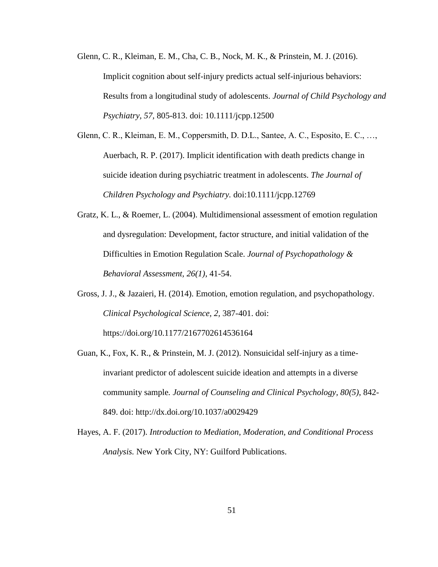- Glenn, C. R., Kleiman, E. M., Cha, C. B., Nock, M. K., & Prinstein, M. J. (2016). Implicit cognition about self-injury predicts actual self-injurious behaviors: Results from a longitudinal study of adolescents. *Journal of Child Psychology and Psychiatry, 57,* 805-813. doi: 10.1111/jcpp.12500
- Glenn, C. R., Kleiman, E. M., Coppersmith, D. D.L., Santee, A. C., Esposito, E. C., …, Auerbach, R. P. (2017). Implicit identification with death predicts change in suicide ideation during psychiatric treatment in adolescents. *The Journal of Children Psychology and Psychiatry.* doi:10.1111/jcpp.12769
- Gratz, K. L., & Roemer, L. (2004). Multidimensional assessment of emotion regulation and dysregulation: Development, factor structure, and initial validation of the Difficulties in Emotion Regulation Scale. *Journal of Psychopathology & Behavioral Assessment, 26(1)*, 41-54.
- Gross, J. J., & Jazaieri, H. (2014). Emotion, emotion regulation, and psychopathology. *Clinical Psychological Science, 2,* 387-401. doi: https://doi.org/10.1177/2167702614536164
- Guan, K., Fox, K. R., & Prinstein, M. J. (2012). Nonsuicidal self-injury as a timeinvariant predictor of adolescent suicide ideation and attempts in a diverse community sample*. Journal of Counseling and Clinical Psychology, 80(5)*, 842- 849. doi: http://dx.doi.org/10.1037/a0029429
- Hayes, A. F. (2017). *Introduction to Mediation, Moderation, and Conditional Process Analysis.* New York City, NY: Guilford Publications.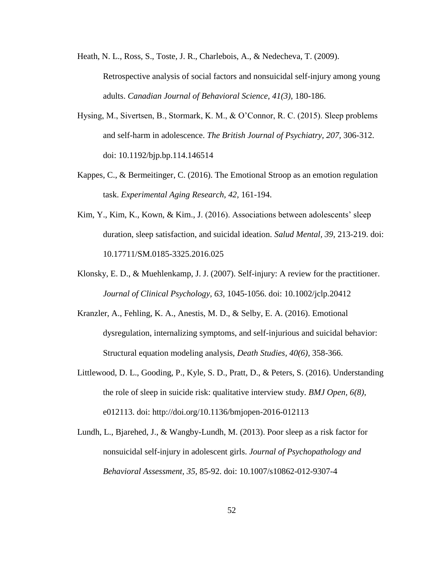Heath, N. L., Ross, S., Toste, J. R., Charlebois, A., & Nedecheva, T. (2009). Retrospective analysis of social factors and nonsuicidal self-injury among young adults. *Canadian Journal of Behavioral Science, 41(3),* 180-186.

- Hysing, M., Sivertsen, B., Stormark, K. M., & O'Connor, R. C. (2015). Sleep problems and self-harm in adolescence. *The British Journal of Psychiatry, 207,* 306-312. doi: 10.1192/bjp.bp.114.146514
- Kappes, C., & Bermeitinger, C. (2016). The Emotional Stroop as an emotion regulation task. *Experimental Aging Research, 42,* 161-194.
- Kim, Y., Kim, K., Kown, & Kim., J. (2016). Associations between adolescents' sleep duration, sleep satisfaction, and suicidal ideation. *Salud Mental, 39*, 213-219. doi: 10.17711/SM.0185-3325.2016.025
- Klonsky, E. D., & Muehlenkamp, J. J. (2007). Self-injury: A review for the practitioner. *Journal of Clinical Psychology, 63,* 1045-1056. doi: 10.1002/jclp.20412
- Kranzler, A., Fehling, K. A., Anestis, M. D., & Selby, E. A. (2016). Emotional dysregulation, internalizing symptoms, and self-injurious and suicidal behavior: Structural equation modeling analysis, *Death Studies, 40(6),* 358-366.
- Littlewood, D. L., Gooding, P., Kyle, S. D., Pratt, D., & Peters, S. (2016). Understanding the role of sleep in suicide risk: qualitative interview study*. BMJ Open, 6(8)*, e012113. doi: http://doi.org/10.1136/bmjopen-2016-012113
- Lundh, L., Bjarehed, J., & Wangby-Lundh, M. (2013). Poor sleep as a risk factor for nonsuicidal self-injury in adolescent girls. *Journal of Psychopathology and Behavioral Assessment, 35,* 85-92. doi: 10.1007/s10862-012-9307-4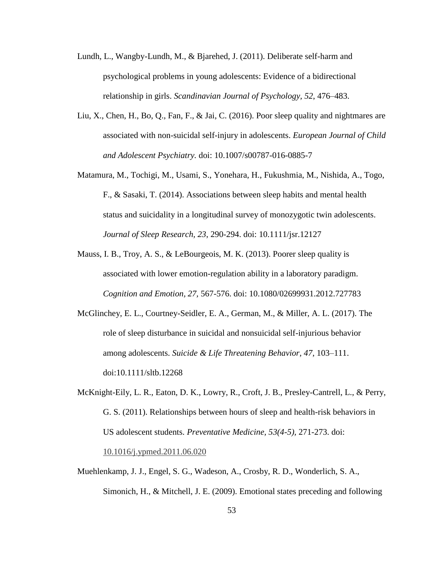- Lundh, L., Wangby-Lundh, M., & Bjarehed, J. (2011). Deliberate self-harm and psychological problems in young adolescents: Evidence of a bidirectional relationship in girls. *Scandinavian Journal of Psychology, 52*, 476–483.
- Liu, X., Chen, H., Bo, Q., Fan, F., & Jai, C. (2016). Poor sleep quality and nightmares are associated with non-suicidal self-injury in adolescents. *European Journal of Child and Adolescent Psychiatry.* doi: 10.1007/s00787-016-0885-7
- Matamura, M., Tochigi, M., Usami, S., Yonehara, H., Fukushmia, M., Nishida, A., Togo, F., & Sasaki, T. (2014). Associations between sleep habits and mental health status and suicidality in a longitudinal survey of monozygotic twin adolescents. *Journal of Sleep Research, 23*, 290-294. doi: 10.1111/jsr.12127
- Mauss, I. B., Troy, A. S., & LeBourgeois, M. K. (2013). Poorer sleep quality is associated with lower emotion-regulation ability in a laboratory paradigm. *Cognition and Emotion, 27,* 567-576. doi: 10.1080/02699931.2012.727783
- McGlinchey, E. L., Courtney-Seidler, E. A., German, M., & Miller, A. L. (2017). The role of sleep disturbance in suicidal and nonsuicidal self-injurious behavior among adolescents. *Suicide & Life Threatening Behavior, 47*, 103–111. doi:10.1111/sltb.12268
- McKnight-Eily, L. R., Eaton, D. K., Lowry, R., Croft, J. B., Presley-Cantrell, L., & Perry, G. S. (2011). Relationships between hours of sleep and health-risk behaviors in US adolescent students. *Preventative Medicine, 53(4-5),* 271-273. doi:

[10.1016/j.ypmed.2011.06.020](https://doi.org/10.1016/j.ypmed.2011.06.020)

Muehlenkamp, J. J., Engel, S. G., Wadeson, A., Crosby, R. D., Wonderlich, S. A., Simonich, H., & Mitchell, J. E. (2009). Emotional states preceding and following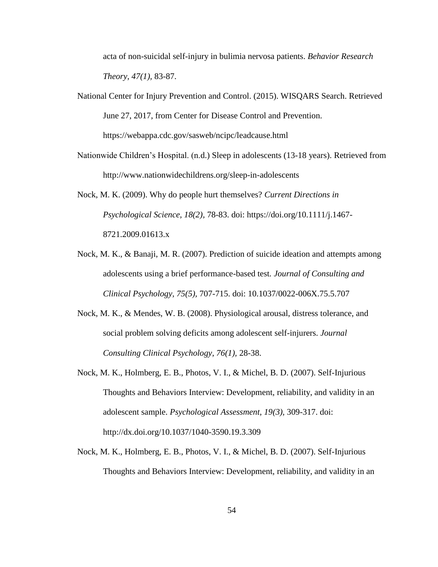acta of non-suicidal self-injury in bulimia nervosa patients. *Behavior Research Theory, 47(1),* 83-87.

National Center for Injury Prevention and Control. (2015). WISQARS Search. Retrieved June 27, 2017, from Center for Disease Control and Prevention. https://webappa.cdc.gov/sasweb/ncipc/leadcause.html

Nationwide Children's Hospital. (n.d.) Sleep in adolescents (13-18 years). Retrieved from http://www.nationwidechildrens.org/sleep-in-adolescents

Nock, M. K. (2009). Why do people hurt themselves? *Current Directions in Psychological Science, 18(2),* 78-83. doi: https://doi.org/10.1111/j.1467- 8721.2009.01613.x

- Nock, M. K., & Banaji, M. R. (2007). Prediction of suicide ideation and attempts among adolescents using a brief performance-based test*. Journal of Consulting and Clinical Psychology, 75(5),* 707-715. doi: 10.1037/0022-006X.75.5.707
- Nock, M. K., & Mendes, W. B. (2008). Physiological arousal, distress tolerance, and social problem solving deficits among adolescent self-injurers. *Journal Consulting Clinical Psychology, 76(1),* 28-38.
- Nock, M. K., Holmberg, E. B., Photos, V. I., & Michel, B. D. (2007). Self-Injurious Thoughts and Behaviors Interview: Development, reliability, and validity in an adolescent sample. *Psychological Assessment, 19(3),* 309-317. doi: http://dx.doi.org/10.1037/1040-3590.19.3.309
- Nock, M. K., Holmberg, E. B., Photos, V. I., & Michel, B. D. (2007). Self-Injurious Thoughts and Behaviors Interview: Development, reliability, and validity in an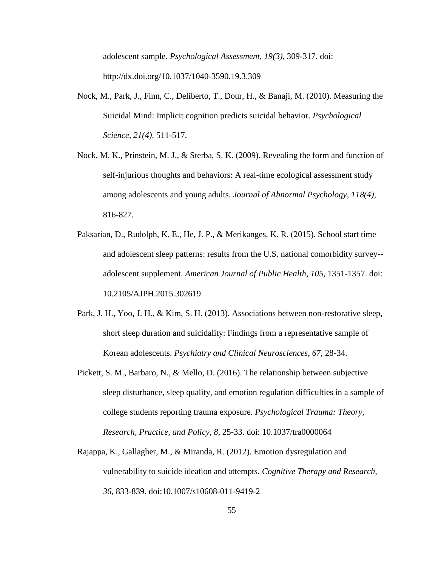adolescent sample. *Psychological Assessment, 19(3),* 309-317. doi: [http://dx.doi.org/10.1037/1040-3590.19.3.309](http://psycnet.apa.org/doi/10.1037/1040-3590.19.3.309)

- Nock, M., Park, J., Finn, C., Deliberto, T., Dour, H., & Banaji, M. (2010). Measuring the Suicidal Mind: Implicit cognition predicts suicidal behavior. *Psychological Science, 21(4),* 511-517.
- Nock, M. K., Prinstein, M. J., & Sterba, S. K. (2009). Revealing the form and function of self-injurious thoughts and behaviors: A real-time ecological assessment study among adolescents and young adults. *Journal of Abnormal Psychology, 118(4),* 816-827.
- Paksarian, D., Rudolph, K. E., He, J. P., & Merikanges, K. R. (2015). School start time and adolescent sleep patterns: results from the U.S. national comorbidity survey- adolescent supplement. *American Journal of Public Health, 105,* 1351-1357. doi: 10.2105/AJPH.2015.302619
- Park, J. H., Yoo, J. H., & Kim, S. H. (2013). Associations between non-restorative sleep, short sleep duration and suicidality: Findings from a representative sample of Korean adolescents. *Psychiatry and Clinical Neurosciences, 67,* 28-34.
- Pickett, S. M., Barbaro, N., & Mello, D. (2016). The relationship between subjective sleep disturbance, sleep quality, and emotion regulation difficulties in a sample of college students reporting trauma exposure. *Psychological Trauma: Theory, Research, Practice, and Policy, 8,* 25-33. doi: 10.1037/tra0000064
- Rajappa, K., Gallagher, M., & Miranda, R. (2012). Emotion dysregulation and vulnerability to suicide ideation and attempts. *Cognitive Therapy and Research, 36,* 833-839. doi:10.1007/s10608-011-9419-2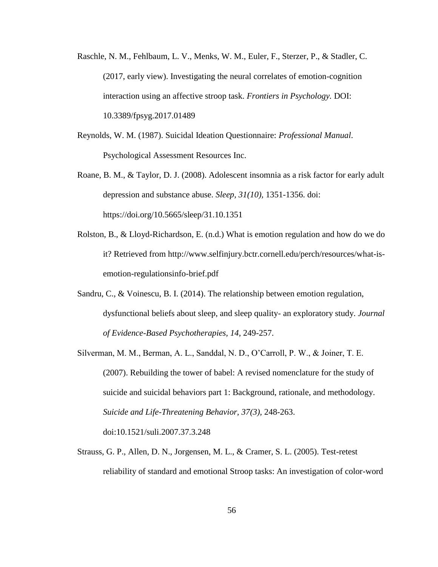- Raschle, N. M., Fehlbaum, L. V., Menks, W. M., Euler, F., Sterzer, P., & Stadler, C. (2017, early view). Investigating the neural correlates of emotion-cognition interaction using an affective stroop task. *Frontiers in Psychology.* DOI: 10.3389/fpsyg.2017.01489
- Reynolds, W. M. (1987). Suicidal Ideation Questionnaire: *Professional Manual*. Psychological Assessment Resources Inc.
- Roane, B. M., & Taylor, D. J. (2008). Adolescent insomnia as a risk factor for early adult depression and substance abuse. *Sleep, 31(10),* 1351-1356. doi: https://doi.org/10.5665/sleep/31.10.1351
- Rolston, B., & Lloyd-Richardson, E. (n.d.) What is emotion regulation and how do we do it? Retrieved from http://www.selfinjury.bctr.cornell.edu/perch/resources/what-isemotion-regulationsinfo-brief.pdf
- Sandru, C., & Voinescu, B. I. (2014). The relationship between emotion regulation, dysfunctional beliefs about sleep, and sleep quality- an exploratory study. *Journal of Evidence-Based Psychotherapies, 14,* 249-257.
- Silverman, M. M., Berman, A. L., Sanddal, N. D., O'Carroll, P. W., & Joiner, T. E. (2007). Rebuilding the tower of babel: A revised nomenclature for the study of suicide and suicidal behaviors part 1: Background, rationale, and methodology. *Suicide and Life-Threatening Behavior, 37(3),* 248-263. doi:10.1521/suli.2007.37.3.248
- Strauss, G. P., Allen, D. N., Jorgensen, M. L., & Cramer, S. L. (2005). Test-retest reliability of standard and emotional Stroop tasks: An investigation of color-word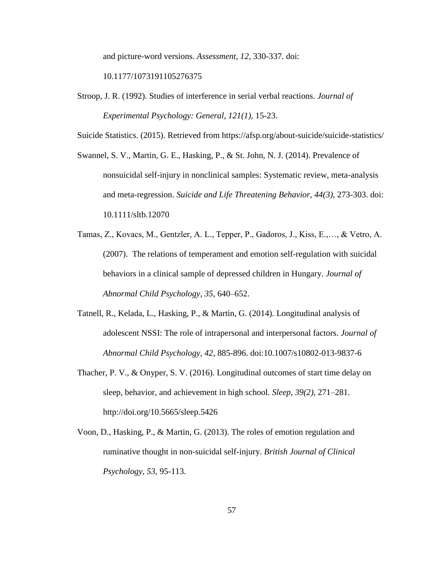and picture-word versions. *Assessment, 12,* 330-337. doi:

10.1177/1073191105276375

Stroop, J. R. (1992). Studies of interference in serial verbal reactions. *Journal of Experimental Psychology: General, 121(1),* 15-23.

Suicide Statistics. (2015). Retrieved from https://afsp.org/about-suicide/suicide-statistics/

- Swannel, S. V., Martin, G. E., Hasking, P., & St. John, N. J. (2014). Prevalence of nonsuicidal self-injury in nonclinical samples: Systematic review, meta-analysis and meta-regression. *Suicide and Life Threatening Behavior, 44(3),* 273-303. doi: 10.1111/sltb.12070
- Tamas, Z., Kovacs, M., Gentzler, A. L., Tepper, P., Gadoros, J., Kiss, E.,…, & Vetro, A. (2007). The relations of temperament and emotion self-regulation with suicidal behaviors in a clinical sample of depressed children in Hungary. *Journal of Abnormal Child Psychology, 35,* 640–652.
- Tatnell, R., Kelada, L., Hasking, P., & Martin, G. (2014). Longitudinal analysis of adolescent NSSI: The role of intrapersonal and interpersonal factors. *Journal of Abnormal Child Psychology, 42*, 885-896. doi:10.1007/s10802-013-9837-6
- Thacher, P. V., & Onyper, S. V. (2016). Longitudinal outcomes of start time delay on sleep, behavior, and achievement in high school. *Sleep, 39(2),* 271–281. http://doi.org/10.5665/sleep.5426
- Voon, D., Hasking, P., & Martin, G. (2013). The roles of emotion regulation and ruminative thought in non-suicidal self-injury. *British Journal of Clinical Psychology, 53*, 95-113.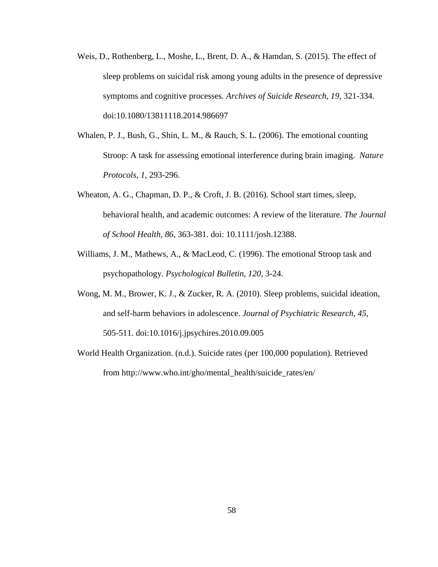- Weis, D., Rothenberg, L., Moshe, L., Brent, D. A., & Hamdan, S. (2015). The effect of sleep problems on suicidal risk among young adults in the presence of depressive symptoms and cognitive processes*. Archives of Suicide Research, 19,* 321-334. doi:10.1080/13811118.2014.986697
- Whalen, P. J., Bush, G., Shin, L. M., & Rauch, S. L. (2006). The emotional counting Stroop: A task for assessing emotional interference during brain imaging. *Nature Protocols, 1,* 293-296.
- Wheaton, A. G., Chapman, D. P., & Croft, J. B. (2016). School start times, sleep, behavioral health, and academic outcomes: A review of the literature. *The Journal of School Health, 86,* 363-381. doi: 10.1111/josh.12388.
- Williams, J. M., Mathews, A., & MacLeod, C. (1996). The emotional Stroop task and psychopathology. *Psychological Bulletin, 120,* 3-24.
- Wong, M. M., Brower, K. J., & Zucker, R. A. (2010). Sleep problems, suicidal ideation, and self-harm behaviors in adolescence. *Journal of Psychiatric Research, 45,* 505-511. doi:10.1016/j.jpsychires.2010.09.005
- World Health Organization. (n.d.). Suicide rates (per 100,000 population). Retrieved from http://www.who.int/gho/mental\_health/suicide\_rates/en/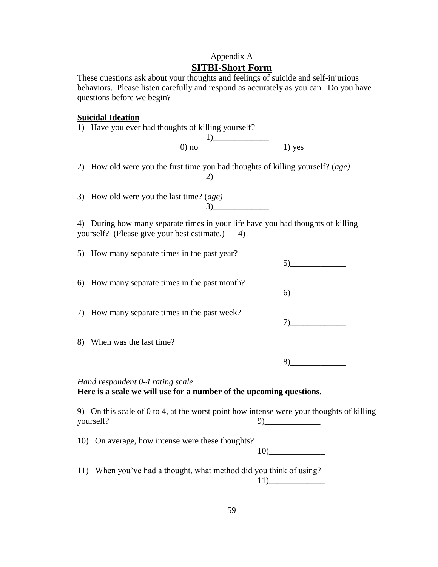# Appendix A **SITBI-Short Form**

These questions ask about your thoughts and feelings of suicide and self-injurious behaviors. Please listen carefully and respond as accurately as you can. Do you have questions before we begin?

# **Suicidal Ideation**

| <u>suiciuai iucativii</u><br>1) Have you ever had thoughts of killing yourself?                                                |                                               |
|--------------------------------------------------------------------------------------------------------------------------------|-----------------------------------------------|
| 1)<br>$0$ ) no                                                                                                                 | $1)$ yes                                      |
| 2) How old were you the first time you had thoughts of killing yourself? (age)                                                 |                                               |
| 3) How old were you the last time? $(age)$<br>$3) \qquad \qquad \overbrace{\qquad \qquad }$                                    |                                               |
| 4) During how many separate times in your life have you had thoughts of killing<br>yourself? (Please give your best estimate.) | 4)                                            |
| 5) How many separate times in the past year?                                                                                   | 5)                                            |
| 6) How many separate times in the past month?                                                                                  | 6)                                            |
| 7) How many separate times in the past week?                                                                                   | $7) \qquad \qquad \overbrace{\qquad \qquad }$ |
| 8) When was the last time?                                                                                                     |                                               |
|                                                                                                                                | 8)                                            |
| Hand respondent 0-4 rating scale<br>Here is a scale we will use for a number of the upcoming questions.                        |                                               |
| 9) On this scale of 0 to 4, at the worst point how intense were your thoughts of killing<br>yourself?                          |                                               |
| 10) On average, how intense were these thoughts?                                                                               |                                               |
| 11) When you've had a thought, what method did you think of using?                                                             |                                               |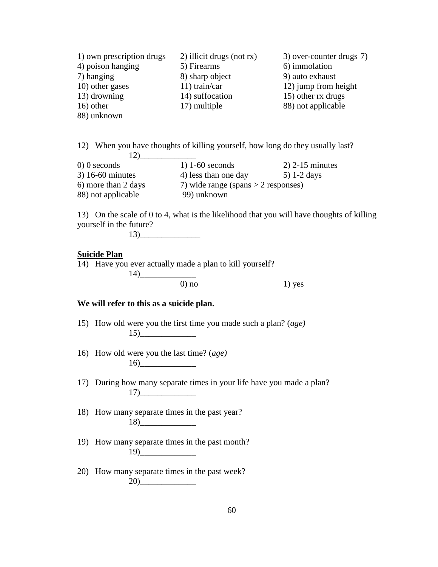| 1) own prescription drugs | 2) illicit drugs (not rx) | 3) over-counter drugs 7) |
|---------------------------|---------------------------|--------------------------|
| 4) poison hanging         | 5) Firearms               | 6) immolation            |
| 7) hanging                | 8) sharp object           | 9) auto exhaust          |
| 10) other gases           | $11)$ train/car           | 12) jump from height     |
| 13) drowning              | 14) suffocation           | 15) other rx drugs       |
| $16)$ other               | 17) multiple              | 88) not applicable       |
| 88) unknown               |                           |                          |

12) When you have thoughts of killing yourself, how long do they usually last?  $12)$ 0) 0 seconds 1) 1-60 seconds 2) 2-15 minutes

| $3)$ 16-60 minutes  | 4) less than one day                  | $5)$ 1-2 days |
|---------------------|---------------------------------------|---------------|
| 6) more than 2 days | 7) wide range (spans $>$ 2 responses) |               |
| 88) not applicable  | 99) unknown                           |               |

13) On the scale of 0 to 4, what is the likelihood that you will have thoughts of killing yourself in the future?

13)\_\_\_\_\_\_\_\_\_\_\_\_\_\_

#### **Suicide Plan**

14) Have you ever actually made a plan to kill yourself?  $14)$  0) no  $1)$  yes

# **We will refer to this as a suicide plan.**

- 15) How old were you the first time you made such a plan? (*age)*  $15)$
- 16) How old were you the last time? (*age)* 16)\_\_\_\_\_\_\_\_\_\_\_\_\_
- 17) During how many separate times in your life have you made a plan? 17)\_\_\_\_\_\_\_\_\_\_\_\_\_
- 18) How many separate times in the past year? 18)\_\_\_\_\_\_\_\_\_\_\_\_\_
- 19) How many separate times in the past month? 19)\_\_\_\_\_\_\_\_\_\_\_\_\_
- 20) How many separate times in the past week? 20)\_\_\_\_\_\_\_\_\_\_\_\_\_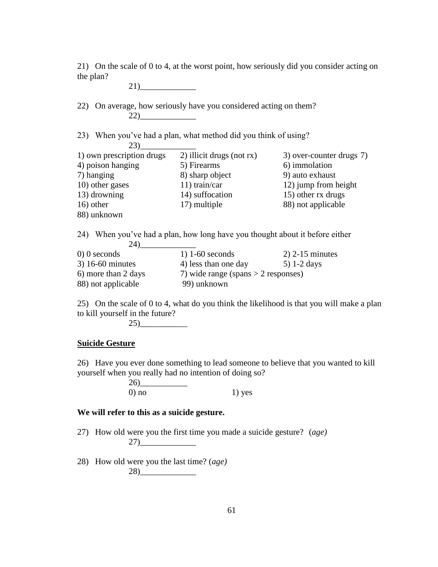21) On the scale of 0 to 4, at the worst point, how seriously did you consider acting on the plan?

21)\_\_\_\_\_\_\_\_\_\_\_\_\_ 22) On average, how seriously have you considered acting on them? 22)\_\_\_\_\_\_\_\_\_\_\_\_\_ 23) When you've had a plan, what method did you think of using? 23)\_\_\_\_\_\_\_\_\_\_\_\_\_ 1) own prescription drugs 2) illicit drugs (not rx) 3) over-counter drugs 7) 4) poison hanging 5) Firearms 6) immolation 7) hanging 8) sharp object 9) auto exhaust 10) other gases 11) train/car 12) jump from height 13) drowning 14) suffocation 15) other rx drugs 16) other 17) multiple 88) not applicable 88) unknown 24) When you've had a plan, how long have you thought about it before either  $24)$  1) 1-60 seconds 0) 0 seconds 1) 1-60 seconds 2) 2-15 minutes 3) 16-60 minutes 4) less than one day 5) 1-2 days 6) more than 2 days  $\frac{7}{2}$  wide range (spans  $>$  2 responses) 88) not applicable 99) unknown

25) On the scale of 0 to 4, what do you think the likelihood is that you will make a plan to kill yourself in the future?

25)\_\_\_\_\_\_\_\_\_\_\_

# **Suicide Gesture**

26) Have you ever done something to lead someone to believe that you wanted to kill yourself when you really had no intention of doing so?

> 26)\_\_\_\_\_\_\_\_\_\_\_ 0) no  $1)$  yes

# **We will refer to this as a suicide gesture.**

27) How old were you the first time you made a suicide gesture? (*age)* 27)\_\_\_\_\_\_\_\_\_\_\_\_\_

28) How old were you the last time? (*age)* 28)\_\_\_\_\_\_\_\_\_\_\_\_\_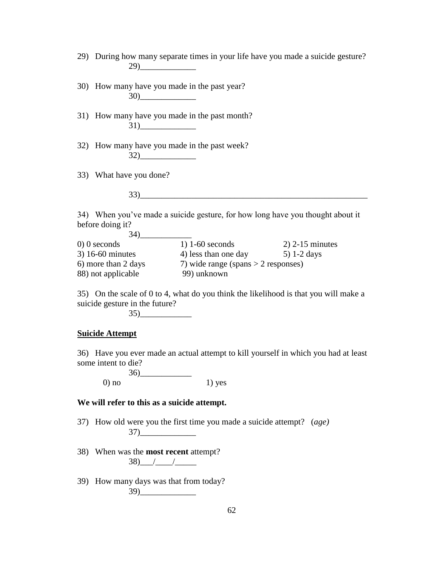- 29) During how many separate times in your life have you made a suicide gesture? 29)\_\_\_\_\_\_\_\_\_\_\_\_\_
- 30) How many have you made in the past year? 30)\_\_\_\_\_\_\_\_\_\_\_\_\_
- 31) How many have you made in the past month? 31)\_\_\_\_\_\_\_\_\_\_\_\_\_
- 32) How many have you made in the past week? 32)\_\_\_\_\_\_\_\_\_\_\_\_\_
- 33) What have you done?

33)\_\_\_\_\_\_\_\_\_\_\_\_\_\_\_\_\_\_\_\_\_\_\_\_\_\_\_\_\_\_\_\_\_\_\_\_\_\_\_\_\_\_\_\_\_\_\_\_\_\_\_\_\_

34) When you've made a suicide gesture, for how long have you thought about it before doing it?  $34)$ 

| <u>.</u>            |                                       |                   |
|---------------------|---------------------------------------|-------------------|
| $0)$ 0 seconds      | $1)$ 1-60 seconds                     | $2)$ 2-15 minutes |
| $3)$ 16-60 minutes  | 4) less than one day                  | $5)$ 1-2 days     |
| 6) more than 2 days | 7) wide range (spans $>$ 2 responses) |                   |
| 88) not applicable  | 99) unknown                           |                   |

35) On the scale of 0 to 4, what do you think the likelihood is that you will make a suicide gesture in the future?

35)\_\_\_\_\_\_\_\_\_\_\_\_

#### **Suicide Attempt**

36) Have you ever made an actual attempt to kill yourself in which you had at least some intent to die?

36)\_\_\_\_\_\_\_\_\_\_\_\_ 0) no  $1)$  yes

#### **We will refer to this as a suicide attempt.**

- 37) How old were you the first time you made a suicide attempt? (*age)* 37)\_\_\_\_\_\_\_\_\_\_\_\_\_
- 38) When was the **most recent** attempt?  $38)$  / / /
- 39) How many days was that from today? 39)\_\_\_\_\_\_\_\_\_\_\_\_\_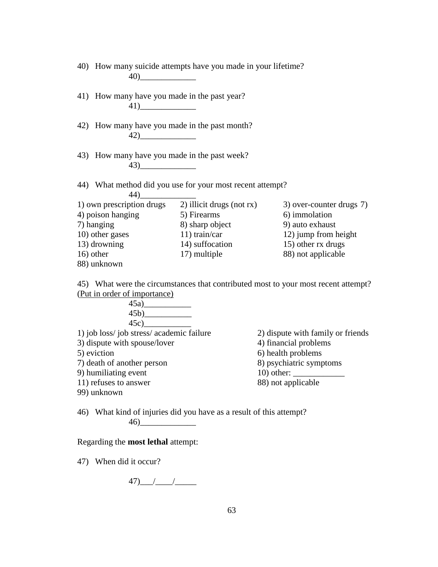| 40) How many suicide attempts have you made in your lifetime? |                 |                                                                                    |  |
|---------------------------------------------------------------|-----------------|------------------------------------------------------------------------------------|--|
| 41) How many have you made in the past year?<br>41)           |                 |                                                                                    |  |
| 42) How many have you made in the past month?<br>42)          |                 |                                                                                    |  |
| 43) How many have you made in the past week?                  |                 |                                                                                    |  |
| 44) What method did you use for your most recent attempt?     |                 |                                                                                    |  |
| 1) own prescription drugs 2) illicit drugs (not rx)           |                 | 3) over-counter drugs 7)                                                           |  |
| 4) poison hanging                                             | 5) Firearms     | 6) immolation                                                                      |  |
| 7) hanging                                                    | 8) sharp object | 9) auto exhaust                                                                    |  |
| 10) other gases                                               | $11)$ train/car | 12) jump from height                                                               |  |
| 13) drowning                                                  | 14) suffocation | 15) other rx drugs                                                                 |  |
| 16) other                                                     | 17) multiple    | 88) not applicable                                                                 |  |
| 88) unknown                                                   |                 |                                                                                    |  |
|                                                               |                 | 45) What were the circumstances that contributed most to your most recent attempt? |  |
| (Put in order of importance)                                  |                 |                                                                                    |  |
|                                                               |                 |                                                                                    |  |
|                                                               |                 |                                                                                    |  |
|                                                               |                 |                                                                                    |  |
| 1) job loss/job stress/academic failure                       |                 | 2) dispute with family or friends                                                  |  |
| 3) dispute with spouse/lover                                  |                 | 4) financial problems                                                              |  |
| 5) eviction                                                   |                 | 6) health problems                                                                 |  |
| 7) death of another person                                    |                 | 8) psychiatric symptoms                                                            |  |
| 9) humiliating event                                          |                 |                                                                                    |  |
| 11) refuses to answer                                         |                 | 88) not applicable                                                                 |  |
| 99) unknown                                                   |                 |                                                                                    |  |

46) What kind of injuries did you have as a result of this attempt? 46)\_\_\_\_\_\_\_\_\_\_\_\_\_

Regarding the **most lethal** attempt:

47) When did it occur?

47)\_\_\_/\_\_\_\_/\_\_\_\_\_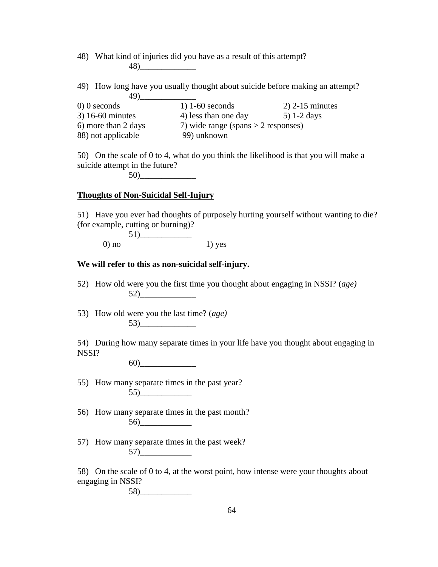48) What kind of injuries did you have as a result of this attempt? 48)\_\_\_\_\_\_\_\_\_\_\_\_\_

49) How long have you usually thought about suicide before making an attempt? 49)\_\_\_\_\_\_\_\_\_\_\_\_\_

| $0)$ 0 seconds      | $1)$ 1-60 seconds                     | $2)$ 2-15 minutes |
|---------------------|---------------------------------------|-------------------|
| $3)$ 16-60 minutes  | 4) less than one day                  | $5)$ 1-2 days     |
| 6) more than 2 days | 7) wide range (spans $>$ 2 responses) |                   |
| 88) not applicable  | 99) unknown                           |                   |

50) On the scale of 0 to 4, what do you think the likelihood is that you will make a suicide attempt in the future?

50)\_\_\_\_\_\_\_\_\_\_\_\_\_

### **Thoughts of Non-Suicidal Self-Injury**

51) Have you ever had thoughts of purposely hurting yourself without wanting to die? (for example, cutting or burning)?

 $51)$  $0)$  no  $1)$  yes

### **We will refer to this as non-suicidal self-injury.**

52) How old were you the first time you thought about engaging in NSSI? (*age)* 52)\_\_\_\_\_\_\_\_\_\_\_\_\_

53) How old were you the last time? (*age)* 53)\_\_\_\_\_\_\_\_\_\_\_\_\_

54) During how many separate times in your life have you thought about engaging in NSSI?

60)\_\_\_\_\_\_\_\_\_\_\_\_\_

- 55) How many separate times in the past year? 55)\_\_\_\_\_\_\_\_\_\_\_\_
- 56) How many separate times in the past month? 56)\_\_\_\_\_\_\_\_\_\_\_\_
- 57) How many separate times in the past week?  $57)$

58) On the scale of 0 to 4, at the worst point, how intense were your thoughts about engaging in NSSI? 58)\_\_\_\_\_\_\_\_\_\_\_\_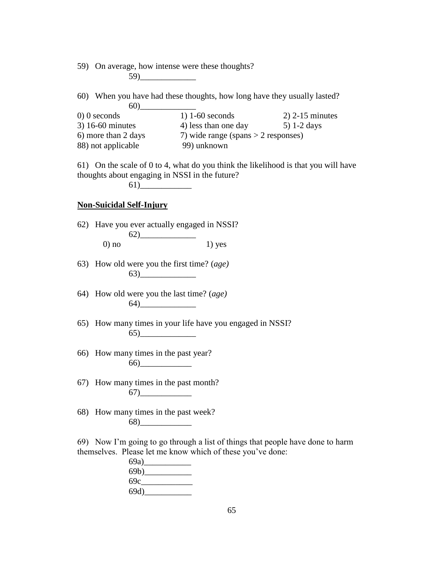59) On average, how intense were these thoughts? 59)\_\_\_\_\_\_\_\_\_\_\_\_\_

60) When you have had these thoughts, how long have they usually lasted? 60)\_\_\_\_\_\_\_\_\_\_\_\_\_

| $0)$ 0 seconds      | $1)$ 1-60 seconds                     | $2)$ 2-15 minutes |
|---------------------|---------------------------------------|-------------------|
| $3)$ 16-60 minutes  | 4) less than one day                  | $5)$ 1-2 days     |
| 6) more than 2 days | 7) wide range (spans $>$ 2 responses) |                   |
| 88) not applicable  | 99) unknown                           |                   |

61) On the scale of 0 to 4, what do you think the likelihood is that you will have thoughts about engaging in NSSI in the future?

 $61)$ 

## **Non-Suicidal Self-Injury**

62) Have you ever actually engaged in NSSI? 62)\_\_\_\_\_\_\_\_\_\_\_\_\_  $0)$  no  $1)$  yes

- 63) How old were you the first time? (*age)* 63)\_\_\_\_\_\_\_\_\_\_\_\_\_
- 64) How old were you the last time? (*age)* 64)\_\_\_\_\_\_\_\_\_\_\_\_\_
- 65) How many times in your life have you engaged in NSSI? 65)\_\_\_\_\_\_\_\_\_\_\_\_\_
- 66) How many times in the past year? 66)\_\_\_\_\_\_\_\_\_\_\_\_
- 67) How many times in the past month? 67)\_\_\_\_\_\_\_\_\_\_\_\_
- 68) How many times in the past week? 68)\_\_\_\_\_\_\_\_\_\_\_\_

69) Now I'm going to go through a list of things that people have done to harm themselves. Please let me know which of these you've done:

| 69a) |  |
|------|--|
| 69b) |  |
| 69c  |  |
| 69d) |  |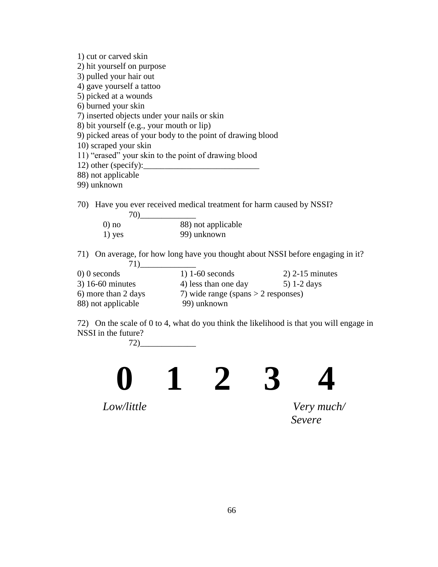| 1) cut or carved skin                        |                                                                                 |
|----------------------------------------------|---------------------------------------------------------------------------------|
| 2) hit yourself on purpose                   |                                                                                 |
| 3) pulled your hair out                      |                                                                                 |
| 4) gave yourself a tattoo                    |                                                                                 |
| 5) picked at a wounds                        |                                                                                 |
| 6) burned your skin                          |                                                                                 |
| 7) inserted objects under your nails or skin |                                                                                 |
| 8) bit yourself (e.g., your mouth or lip)    |                                                                                 |
|                                              | 9) picked areas of your body to the point of drawing blood                      |
| 10) scraped your skin                        |                                                                                 |
|                                              | 11) "erased" your skin to the point of drawing blood                            |
|                                              |                                                                                 |
| 88) not applicable                           |                                                                                 |
| 99) unknown                                  |                                                                                 |
|                                              |                                                                                 |
|                                              | 70) Have you ever received medical treatment for harm caused by NSSI?           |
|                                              |                                                                                 |
| $0$ ) no                                     | 88) not applicable                                                              |
| $1)$ yes                                     | 99) unknown                                                                     |
|                                              |                                                                                 |
|                                              | 71) On average, for how long have you thought about NSSI before engaging in it? |
| 71)                                          |                                                                                 |
|                                              |                                                                                 |

| $1)$ 1-60 seconds                     | $2)$ 2-15 minutes |
|---------------------------------------|-------------------|
| 4) less than one day                  | $5)$ 1-2 days     |
| 7) wide range (spans $>$ 2 responses) |                   |
| 99) unknown                           |                   |
|                                       |                   |

72) On the scale of 0 to 4, what do you think the likelihood is that you will engage in NSSI in the future?

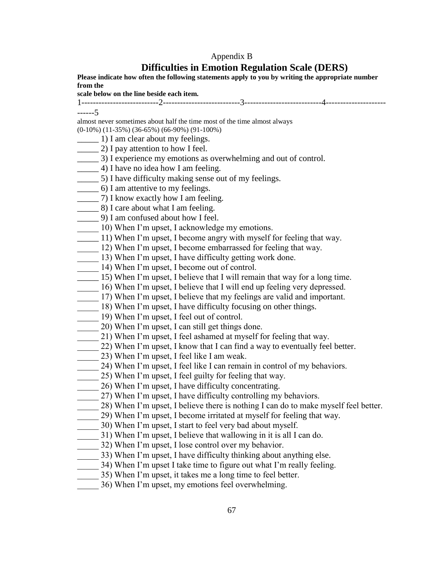## Appendix B

# **Difficulties in Emotion Regulation Scale (DERS)**

**Please indicate how often the following statements apply to you by writing the appropriate number from the scale below on the line beside each item.** 1---------------------------2---------------------------3---------------------------4--------------------- ------5 almost never sometimes about half the time most of the time almost always (0-10%) (11-35%) (36-65%) (66-90%) (91-100%) 1) I am clear about my feelings. \_\_\_\_\_ 2) I pay attention to how I feel. \_\_\_\_\_ 3) I experience my emotions as overwhelming and out of control. \_\_\_\_\_ 4) I have no idea how I am feeling. \_\_\_\_\_ 5) I have difficulty making sense out of my feelings. \_\_\_\_\_ 6) I am attentive to my feelings. \_\_\_\_\_ 7) I know exactly how I am feeling. \_\_\_\_\_ 8) I care about what I am feeling. \_\_\_\_\_ 9) I am confused about how I feel. \_\_\_\_\_ 10) When I'm upset, I acknowledge my emotions. \_\_\_\_\_ 11) When I'm upset, I become angry with myself for feeling that way. 12) When I'm upset, I become embarrassed for feeling that way.  $\frac{13}{2}$  13) When I'm upset, I have difficulty getting work done.  $\frac{1}{2}$  14) When I'm upset, I become out of control. \_\_\_\_\_ 15) When I'm upset, I believe that I will remain that way for a long time. 16) When I'm upset, I believe that I will end up feeling very depressed. \_\_\_\_\_ 17) When I'm upset, I believe that my feelings are valid and important. \_\_\_\_\_ 18) When I'm upset, I have difficulty focusing on other things. 19) When I'm upset, I feel out of control. \_\_\_\_\_ 20) When I'm upset, I can still get things done. 21) When I'm upset, I feel ashamed at myself for feeling that way. 22) When I'm upset, I know that I can find a way to eventually feel better. \_\_\_\_\_ 23) When I'm upset, I feel like I am weak. \_\_\_\_\_ 24) When I'm upset, I feel like I can remain in control of my behaviors. 25) When I'm upset, I feel guilty for feeling that way. \_\_\_\_\_ 26) When I'm upset, I have difficulty concentrating. 27) When I'm upset, I have difficulty controlling my behaviors. 28) When I'm upset, I believe there is nothing I can do to make myself feel better. \_\_\_\_\_ 29) When I'm upset, I become irritated at myself for feeling that way. \_\_\_\_\_ 30) When I'm upset, I start to feel very bad about myself. \_\_\_\_\_ 31) When I'm upset, I believe that wallowing in it is all I can do. 32) When I'm upset, I lose control over my behavior. \_\_\_\_ 33) When I'm upset, I have difficulty thinking about anything else. 34) When I'm upset I take time to figure out what I'm really feeling. \_\_\_\_\_ 35) When I'm upset, it takes me a long time to feel better. \_\_\_\_\_ 36) When I'm upset, my emotions feel overwhelming.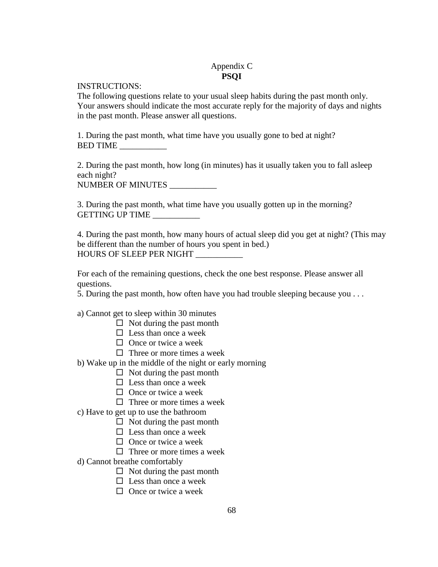# Appendix C **PSQI**

INSTRUCTIONS:

The following questions relate to your usual sleep habits during the past month only. Your answers should indicate the most accurate reply for the majority of days and nights in the past month. Please answer all questions.

1. During the past month, what time have you usually gone to bed at night? BED TIME \_\_\_\_\_\_\_\_\_\_\_

2. During the past month, how long (in minutes) has it usually taken you to fall asleep each night?

NUMBER OF MINUTES \_\_\_\_\_\_\_\_\_\_\_

3. During the past month, what time have you usually gotten up in the morning? GETTING UP TIME \_\_\_\_\_\_\_\_\_\_\_

4. During the past month, how many hours of actual sleep did you get at night? (This may be different than the number of hours you spent in bed.) HOURS OF SLEEP PER NIGHT

For each of the remaining questions, check the one best response. Please answer all questions.

5. During the past month, how often have you had trouble sleeping because you . . .

a) Cannot get to sleep within 30 minutes

- $\Box$  Not during the past month
- $\Box$  Less than once a week
- $\Box$  Once or twice a week
- $\Box$  Three or more times a week
- b) Wake up in the middle of the night or early morning
	- $\Box$  Not during the past month
	- $\square$  Less than once a week
	- $\Box$  Once or twice a week
	- $\Box$  Three or more times a week
- c) Have to get up to use the bathroom
	- $\Box$  Not during the past month
	- $\Box$  Less than once a week
	- $\Box$  Once or twice a week
	- $\Box$  Three or more times a week
- d) Cannot breathe comfortably
	- $\Box$  Not during the past month
	- $\square$  Less than once a week
	- $\Box$  Once or twice a week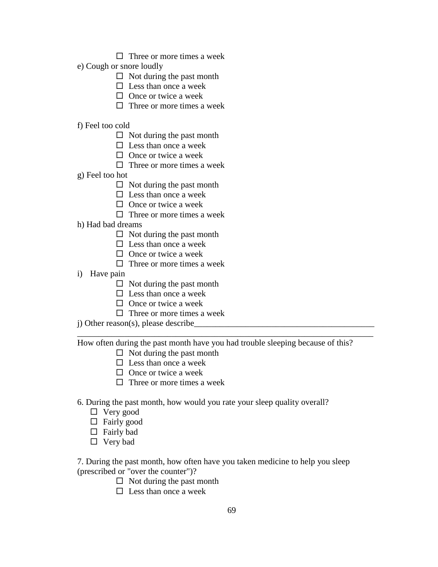- $\Box$  Three or more times a week
- e) Cough or snore loudly
	- $\Box$  Not during the past month
	- $\square$  Less than once a week
	- $\Box$  Once or twice a week
	- $\Box$  Three or more times a week

### f) Feel too cold

- $\Box$  Not during the past month
- $\square$  Less than once a week
- $\Box$  Once or twice a week
- $\Box$  Three or more times a week
- g) Feel too hot
	- $\Box$  Not during the past month
	- $\Box$  Less than once a week
	- $\Box$  Once or twice a week
	- $\Box$  Three or more times a week
- h) Had bad dreams
	- $\Box$  Not during the past month
	- $\Box$  Less than once a week
	- $\Box$  Once or twice a week
	- $\Box$  Three or more times a week
- i) Have pain
	- $\Box$  Not during the past month
	- $\square$  Less than once a week
	- $\Box$  Once or twice a week
	- $\Box$  Three or more times a week
- j) Other reason(s), please describe

How often during the past month have you had trouble sleeping because of this?

\_\_\_\_\_\_\_\_\_\_\_\_\_\_\_\_\_\_\_\_\_\_\_\_\_\_\_\_\_\_\_\_\_\_\_\_\_\_\_\_\_\_\_\_\_\_\_\_\_\_\_\_\_\_\_\_\_\_\_\_\_\_\_\_\_\_\_\_\_

- $\Box$  Not during the past month
- $\Box$  Less than once a week
- $\Box$  Once or twice a week
- $\Box$  Three or more times a week
- 6. During the past month, how would you rate your sleep quality overall?
	- □ Very good
	- $\Box$  Fairly good
	- $\Box$  Fairly bad
	- □ Very bad

7. During the past month, how often have you taken medicine to help you sleep (prescribed or "over the counter")?

- $\Box$  Not during the past month
- $\Box$  Less than once a week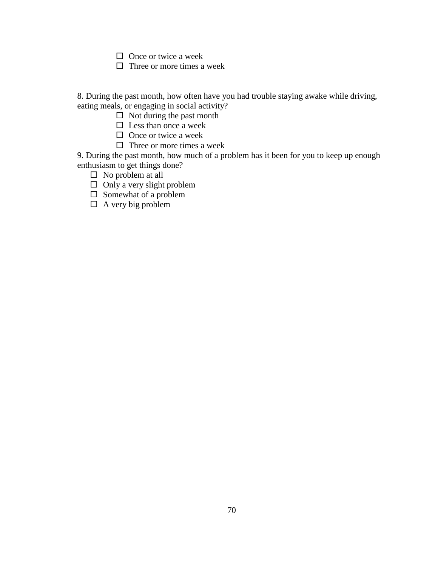$\Box$  Once or twice a week

 $\Box$  Three or more times a week

8. During the past month, how often have you had trouble staying awake while driving, eating meals, or engaging in social activity?

 $\Box$  Not during the past month

- $\square$  Less than once a week
- $\Box$  Once or twice a week
- $\Box$  Three or more times a week

9. During the past month, how much of a problem has it been for you to keep up enough enthusiasm to get things done?

- $\square$  No problem at all
- $\Box$  Only a very slight problem
- $\square$  Somewhat of a problem
- $\Box$  A very big problem